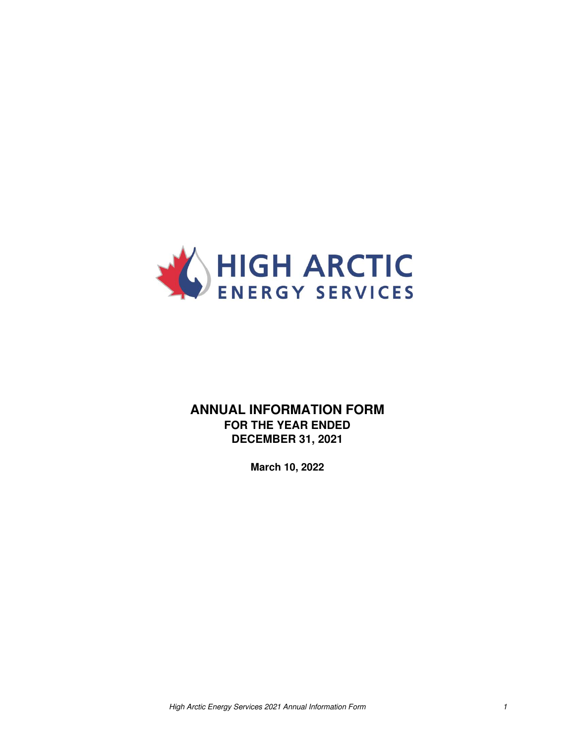

# **ANNUAL INFORMATION FORM FOR THE YEAR ENDED DECEMBER 31, 2021**

**March 10, 2022**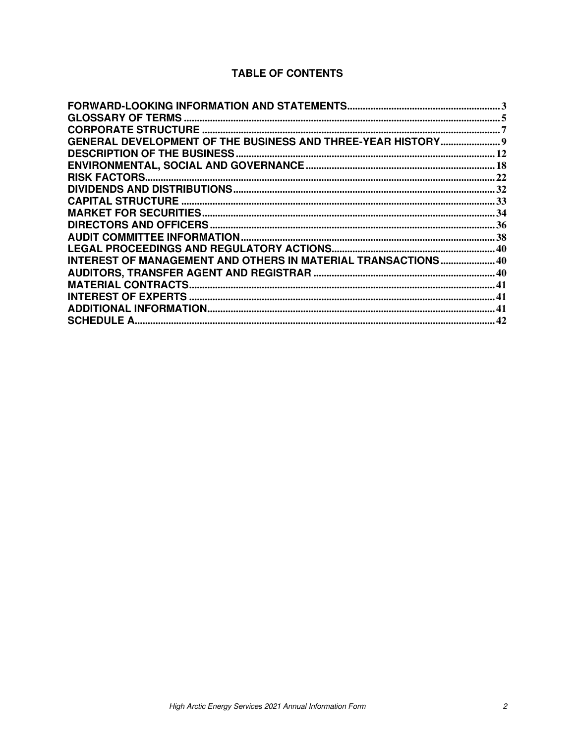# **TABLE OF CONTENTS**

| GENERAL DEVELOPMENT OF THE BUSINESS AND THREE-YEAR HISTORY 9 |  |
|--------------------------------------------------------------|--|
|                                                              |  |
|                                                              |  |
|                                                              |  |
|                                                              |  |
|                                                              |  |
|                                                              |  |
|                                                              |  |
|                                                              |  |
|                                                              |  |
| INTEREST OF MANAGEMENT AND OTHERS IN MATERIAL TRANSACTIONS40 |  |
|                                                              |  |
|                                                              |  |
|                                                              |  |
|                                                              |  |
|                                                              |  |
|                                                              |  |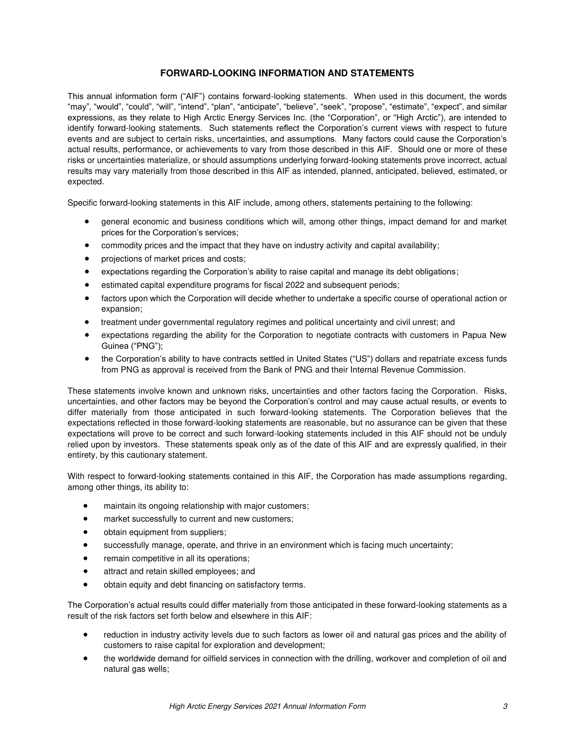# **FORWARD-LOOKING INFORMATION AND STATEMENTS**

<span id="page-2-0"></span>This annual information form ("AIF") contains forward-looking statements. When used in this document, the words "may", "would", "could", "will", "intend", "plan", "anticipate", "believe", "seek", "propose", "estimate", "expect", and similar expressions, as they relate to High Arctic Energy Services Inc. (the "Corporation", or "High Arctic"), are intended to identify forward-looking statements. Such statements reflect the Corporation's current views with respect to future events and are subject to certain risks, uncertainties, and assumptions. Many factors could cause the Corporation's actual results, performance, or achievements to vary from those described in this AIF. Should one or more of these risks or uncertainties materialize, or should assumptions underlying forward-looking statements prove incorrect, actual results may vary materially from those described in this AIF as intended, planned, anticipated, believed, estimated, or expected.

Specific forward-looking statements in this AIF include, among others, statements pertaining to the following:

- general economic and business conditions which will, among other things, impact demand for and market prices for the Corporation's services;
- commodity prices and the impact that they have on industry activity and capital availability;
- projections of market prices and costs;
- expectations regarding the Corporation's ability to raise capital and manage its debt obligations;
- estimated capital expenditure programs for fiscal 2022 and subsequent periods;
- factors upon which the Corporation will decide whether to undertake a specific course of operational action or expansion;
- treatment under governmental regulatory regimes and political uncertainty and civil unrest; and
- expectations regarding the ability for the Corporation to negotiate contracts with customers in Papua New Guinea ("PNG");
- the Corporation's ability to have contracts settled in United States ("US") dollars and repatriate excess funds from PNG as approval is received from the Bank of PNG and their Internal Revenue Commission.

These statements involve known and unknown risks, uncertainties and other factors facing the Corporation. Risks, uncertainties, and other factors may be beyond the Corporation's control and may cause actual results, or events to differ materially from those anticipated in such forward-looking statements. The Corporation believes that the expectations reflected in those forward-looking statements are reasonable, but no assurance can be given that these expectations will prove to be correct and such forward-looking statements included in this AIF should not be unduly relied upon by investors. These statements speak only as of the date of this AIF and are expressly qualified, in their entirety, by this cautionary statement.

With respect to forward-looking statements contained in this AIF, the Corporation has made assumptions regarding, among other things, its ability to:

- maintain its ongoing relationship with major customers;
- market successfully to current and new customers;
- obtain equipment from suppliers;
- successfully manage, operate, and thrive in an environment which is facing much uncertainty;
- remain competitive in all its operations;
- attract and retain skilled employees; and
- obtain equity and debt financing on satisfactory terms.

The Corporation's actual results could differ materially from those anticipated in these forward-looking statements as a result of the risk factors set forth below and elsewhere in this AIF:

- reduction in industry activity levels due to such factors as lower oil and natural gas prices and the ability of customers to raise capital for exploration and development;
- the worldwide demand for oilfield services in connection with the drilling, workover and completion of oil and natural gas wells;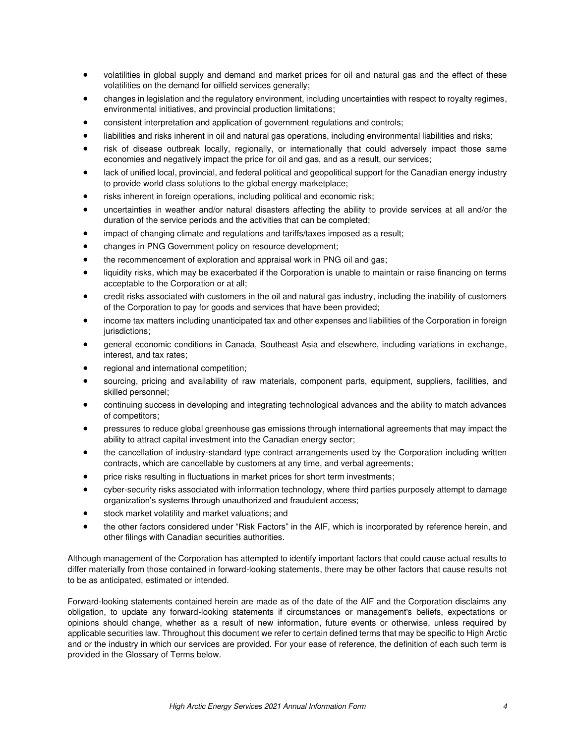- volatilities in global supply and demand and market prices for oil and natural gas and the effect of these volatilities on the demand for oilfield services generally;
- changes in legislation and the regulatory environment, including uncertainties with respect to royalty regimes, environmental initiatives, and provincial production limitations;
- consistent interpretation and application of government regulations and controls;
- liabilities and risks inherent in oil and natural gas operations, including environmental liabilities and risks;
- risk of disease outbreak locally, regionally, or internationally that could adversely impact those same economies and negatively impact the price for oil and gas, and as a result, our services;
- lack of unified local, provincial, and federal political and geopolitical support for the Canadian energy industry to provide world class solutions to the global energy marketplace;
- risks inherent in foreign operations, including political and economic risk;
- uncertainties in weather and/or natural disasters affecting the ability to provide services at all and/or the duration of the service periods and the activities that can be completed;
- impact of changing climate and regulations and tariffs/taxes imposed as a result;
- changes in PNG Government policy on resource development;
- the recommencement of exploration and appraisal work in PNG oil and gas;
- liquidity risks, which may be exacerbated if the Corporation is unable to maintain or raise financing on terms acceptable to the Corporation or at all;
- credit risks associated with customers in the oil and natural gas industry, including the inability of customers of the Corporation to pay for goods and services that have been provided;
- income tax matters including unanticipated tax and other expenses and liabilities of the Corporation in foreign jurisdictions;
- general economic conditions in Canada, Southeast Asia and elsewhere, including variations in exchange, interest, and tax rates;
- regional and international competition;
- sourcing, pricing and availability of raw materials, component parts, equipment, suppliers, facilities, and skilled personnel;
- continuing success in developing and integrating technological advances and the ability to match advances of competitors;
- pressures to reduce global greenhouse gas emissions through international agreements that may impact the ability to attract capital investment into the Canadian energy sector;
- the cancellation of industry-standard type contract arrangements used by the Corporation including written contracts, which are cancellable by customers at any time, and verbal agreements;
- price risks resulting in fluctuations in market prices for short term investments;
- cyber-security risks associated with information technology, where third parties purposely attempt to damage organization's systems through unauthorized and fraudulent access;
- stock market volatility and market valuations; and
- the other factors considered under "Risk Factors" in the AIF, which is incorporated by reference herein, and other filings with Canadian securities authorities.

Although management of the Corporation has attempted to identify important factors that could cause actual results to differ materially from those contained in forward-looking statements, there may be other factors that cause results not to be as anticipated, estimated or intended.

Forward-looking statements contained herein are made as of the date of the AIF and the Corporation disclaims any obligation, to update any forward-looking statements if circumstances or management's beliefs, expectations or opinions should change, whether as a result of new information, future events or otherwise, unless required by applicable securities law. Throughout this document we refer to certain defined terms that may be specific to High Arctic and or the industry in which our services are provided. For your ease of reference, the definition of each such term is provided in the Glossary of Terms below.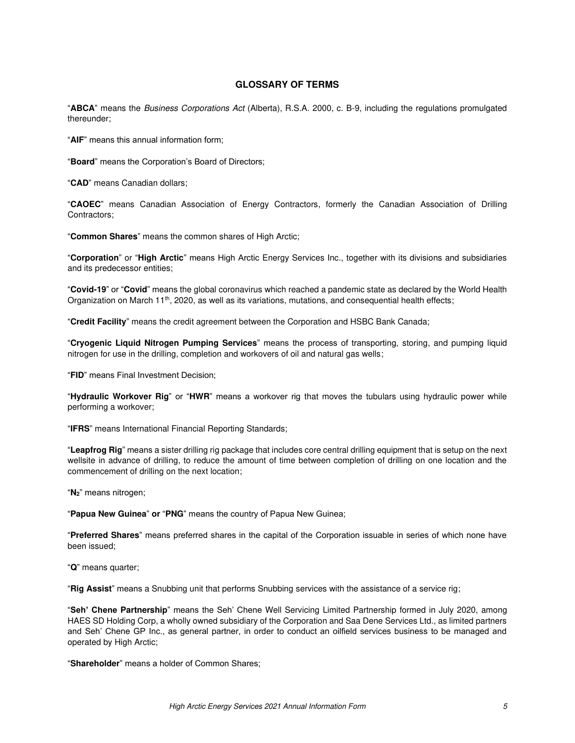### **GLOSSARY OF TERMS**

<span id="page-4-0"></span>"**ABCA**" means the Business Corporations Act (Alberta), R.S.A. 2000, c. B-9, including the regulations promulgated thereunder;

"**AIF**" means this annual information form;

"**Board**" means the Corporation's Board of Directors;

"**CAD**" means Canadian dollars;

"**CAOEC**" means Canadian Association of Energy Contractors, formerly the Canadian Association of Drilling Contractors;

"**Common Shares**" means the common shares of High Arctic;

"**Corporation**" or "**High Arctic**" means High Arctic Energy Services Inc., together with its divisions and subsidiaries and its predecessor entities;

"**Covid-19**" or "**Covid**" means the global coronavirus which reached a pandemic state as declared by the World Health Organization on March 11<sup>th</sup>, 2020, as well as its variations, mutations, and consequential health effects;

"**Credit Facility**" means the credit agreement between the Corporation and HSBC Bank Canada;

"**Cryogenic Liquid Nitrogen Pumping Services**" means the process of transporting, storing, and pumping liquid nitrogen for use in the drilling, completion and workovers of oil and natural gas wells;

"**FID**" means Final Investment Decision;

"**Hydraulic Workover Rig**" or "**HWR**" means a workover rig that moves the tubulars using hydraulic power while performing a workover;

"**IFRS**" means International Financial Reporting Standards;

"**Leapfrog Rig**" means a sister drilling rig package that includes core central drilling equipment that is setup on the next wellsite in advance of drilling, to reduce the amount of time between completion of drilling on one location and the commencement of drilling on the next location;

"**N2**" means nitrogen;

"**Papua New Guinea**" **or** "**PNG**" means the country of Papua New Guinea;

"**Preferred Shares**" means preferred shares in the capital of the Corporation issuable in series of which none have been issued;

"**Q**" means quarter;

"**Rig Assist**" means a Snubbing unit that performs Snubbing services with the assistance of a service rig;

"**Seh' Chene Partnership**" means the Seh' Chene Well Servicing Limited Partnership formed in July 2020, among HAES SD Holding Corp, a wholly owned subsidiary of the Corporation and Saa Dene Services Ltd., as limited partners and Seh' Chene GP Inc., as general partner, in order to conduct an oilfield services business to be managed and operated by High Arctic;

"**Shareholder**" means a holder of Common Shares;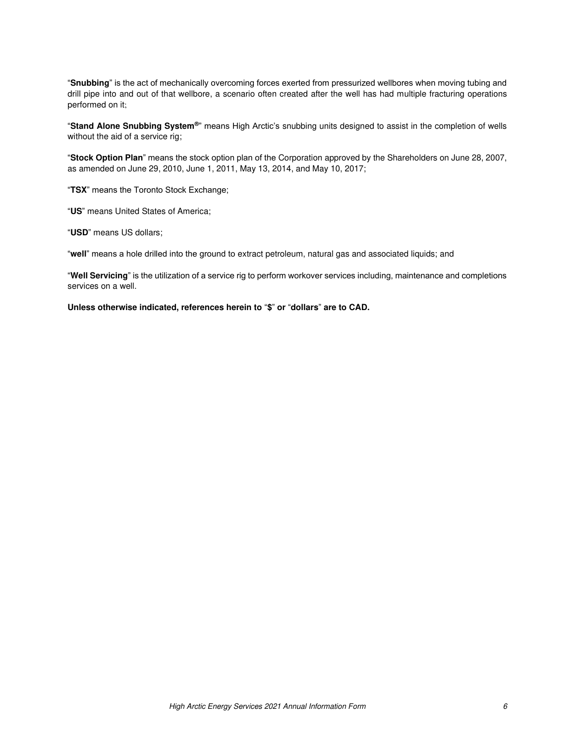"**Snubbing**" is the act of mechanically overcoming forces exerted from pressurized wellbores when moving tubing and drill pipe into and out of that wellbore, a scenario often created after the well has had multiple fracturing operations performed on it;

"**Stand Alone Snubbing System®**" means High Arctic's snubbing units designed to assist in the completion of wells without the aid of a service rig;

"**Stock Option Plan**" means the stock option plan of the Corporation approved by the Shareholders on June 28, 2007, as amended on June 29, 2010, June 1, 2011, May 13, 2014, and May 10, 2017;

"**TSX**" means the Toronto Stock Exchange;

"**US**" means United States of America;

"**USD**" means US dollars;

"**well**" means a hole drilled into the ground to extract petroleum, natural gas and associated liquids; and

"**Well Servicing**" is the utilization of a service rig to perform workover services including, maintenance and completions services on a well.

**Unless otherwise indicated, references herein to** "**\$**" **or** "**dollars**" **are to CAD.**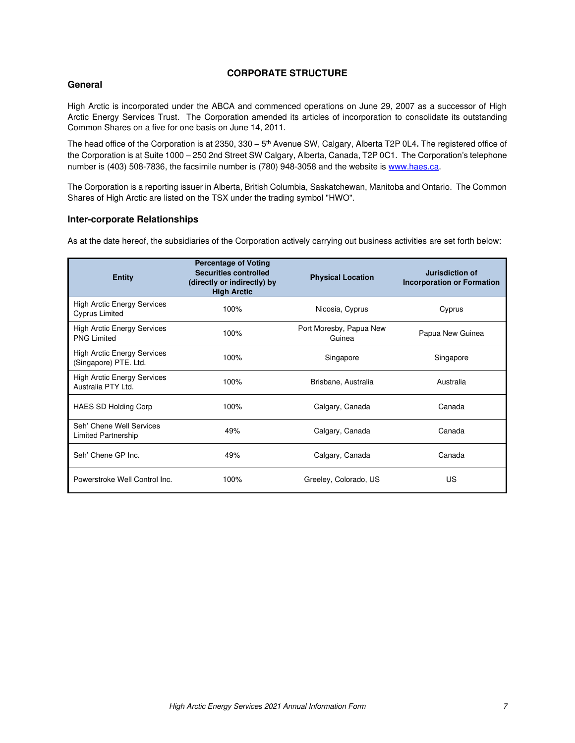# **CORPORATE STRUCTURE**

### <span id="page-6-0"></span>**General**

High Arctic is incorporated under the ABCA and commenced operations on June 29, 2007 as a successor of High Arctic Energy Services Trust. The Corporation amended its articles of incorporation to consolidate its outstanding Common Shares on a five for one basis on June 14, 2011.

The head office of the Corporation is at 2350, 330 – 5<sup>th</sup> Avenue SW, Calgary, Alberta T2P 0L4. The registered office of the Corporation is at Suite 1000 – 250 2nd Street SW Calgary, Alberta, Canada, T2P 0C1. The Corporation's telephone number is (403) 508-7836, the facsimile number is (780) 948-3058 and the website i[s www.haes.ca.](http://www.haes.ca/)

The Corporation is a reporting issuer in Alberta, British Columbia, Saskatchewan, Manitoba and Ontario. The Common Shares of High Arctic are listed on the TSX under the trading symbol "HWO".

### **Inter-corporate Relationships**

As at the date hereof, the subsidiaries of the Corporation actively carrying out business activities are set forth below:

| <b>Entity</b>                                               | <b>Percentage of Voting</b><br><b>Securities controlled</b><br>(directly or indirectly) by<br><b>High Arctic</b> | <b>Physical Location</b>          | Jurisdiction of<br><b>Incorporation or Formation</b> |
|-------------------------------------------------------------|------------------------------------------------------------------------------------------------------------------|-----------------------------------|------------------------------------------------------|
| <b>High Arctic Energy Services</b><br><b>Cyprus Limited</b> | 100%                                                                                                             | Nicosia, Cyprus                   | Cyprus                                               |
| <b>High Arctic Energy Services</b><br><b>PNG Limited</b>    | 100%                                                                                                             | Port Moresby, Papua New<br>Guinea | Papua New Guinea                                     |
| <b>High Arctic Energy Services</b><br>(Singapore) PTE. Ltd. | 100%                                                                                                             | Singapore                         | Singapore                                            |
| <b>High Arctic Energy Services</b><br>Australia PTY Ltd.    | 100%                                                                                                             | Brisbane, Australia               | Australia                                            |
| <b>HAES SD Holding Corp</b>                                 | 100%                                                                                                             | Calgary, Canada                   | Canada                                               |
| Seh' Chene Well Services<br>Limited Partnership             | 49%                                                                                                              | Calgary, Canada                   | Canada                                               |
| Seh' Chene GP Inc.                                          | 49%                                                                                                              | Calgary, Canada                   | Canada                                               |
| Powerstroke Well Control Inc.                               | 100%                                                                                                             | Greeley, Colorado, US             | <b>US</b>                                            |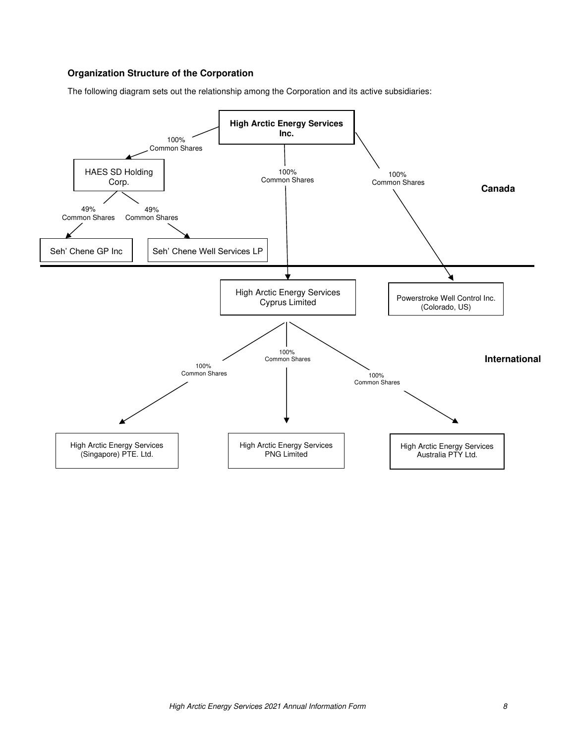# **Organization Structure of the Corporation**

The following diagram sets out the relationship among the Corporation and its active subsidiaries:

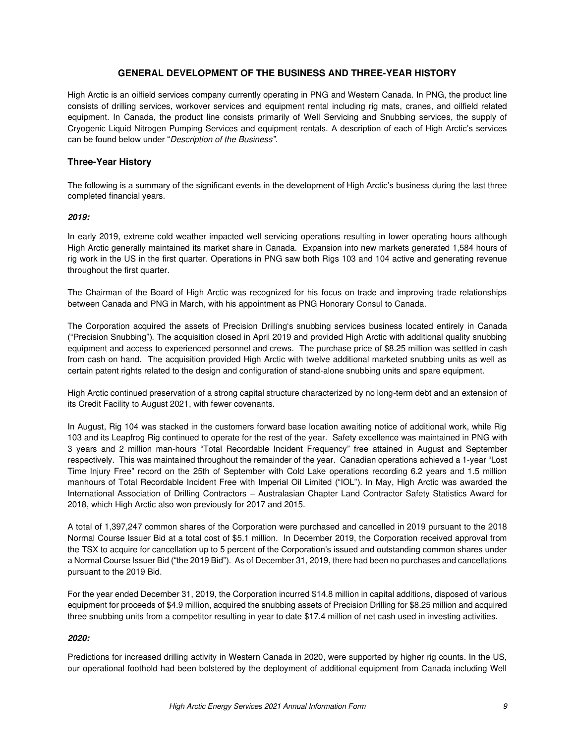# **GENERAL DEVELOPMENT OF THE BUSINESS AND THREE-YEAR HISTORY**

<span id="page-8-0"></span>High Arctic is an oilfield services company currently operating in PNG and Western Canada. In PNG, the product line consists of drilling services, workover services and equipment rental including rig mats, cranes, and oilfield related equipment. In Canada, the product line consists primarily of Well Servicing and Snubbing services, the supply of Cryogenic Liquid Nitrogen Pumping Services and equipment rentals. A description of each of High Arctic's services can be found below under "Description of the Business*".*

### **Three-Year History**

The following is a summary of the significant events in the development of High Arctic's business during the last three completed financial years.

### *2019:*

In early 2019, extreme cold weather impacted well servicing operations resulting in lower operating hours although High Arctic generally maintained its market share in Canada. Expansion into new markets generated 1,584 hours of rig work in the US in the first quarter. Operations in PNG saw both Rigs 103 and 104 active and generating revenue throughout the first quarter.

The Chairman of the Board of High Arctic was recognized for his focus on trade and improving trade relationships between Canada and PNG in March, with his appointment as PNG Honorary Consul to Canada.

The Corporation acquired the assets of Precision Drilling's snubbing services business located entirely in Canada ("Precision Snubbing"). The acquisition closed in April 2019 and provided High Arctic with additional quality snubbing equipment and access to experienced personnel and crews. The purchase price of \$8.25 million was settled in cash from cash on hand. The acquisition provided High Arctic with twelve additional marketed snubbing units as well as certain patent rights related to the design and configuration of stand-alone snubbing units and spare equipment.

High Arctic continued preservation of a strong capital structure characterized by no long-term debt and an extension of its Credit Facility to August 2021, with fewer covenants.

In August, Rig 104 was stacked in the customers forward base location awaiting notice of additional work, while Rig 103 and its Leapfrog Rig continued to operate for the rest of the year. Safety excellence was maintained in PNG with 3 years and 2 million man-hours "Total Recordable Incident Frequency" free attained in August and September respectively. This was maintained throughout the remainder of the year. Canadian operations achieved a 1-year "Lost Time Injury Free" record on the 25th of September with Cold Lake operations recording 6.2 years and 1.5 million manhours of Total Recordable Incident Free with Imperial Oil Limited ("IOL"). In May, High Arctic was awarded the International Association of Drilling Contractors – Australasian Chapter Land Contractor Safety Statistics Award for 2018, which High Arctic also won previously for 2017 and 2015.

A total of 1,397,247 common shares of the Corporation were purchased and cancelled in 2019 pursuant to the 2018 Normal Course Issuer Bid at a total cost of \$5.1 million. In December 2019, the Corporation received approval from the TSX to acquire for cancellation up to 5 percent of the Corporation's issued and outstanding common shares under a Normal Course Issuer Bid ("the 2019 Bid"). As of December 31, 2019, there had been no purchases and cancellations pursuant to the 2019 Bid.

For the year ended December 31, 2019, the Corporation incurred \$14.8 million in capital additions, disposed of various equipment for proceeds of \$4.9 million, acquired the snubbing assets of Precision Drilling for \$8.25 million and acquired three snubbing units from a competitor resulting in year to date \$17.4 million of net cash used in investing activities.

### *2020:*

Predictions for increased drilling activity in Western Canada in 2020, were supported by higher rig counts. In the US, our operational foothold had been bolstered by the deployment of additional equipment from Canada including Well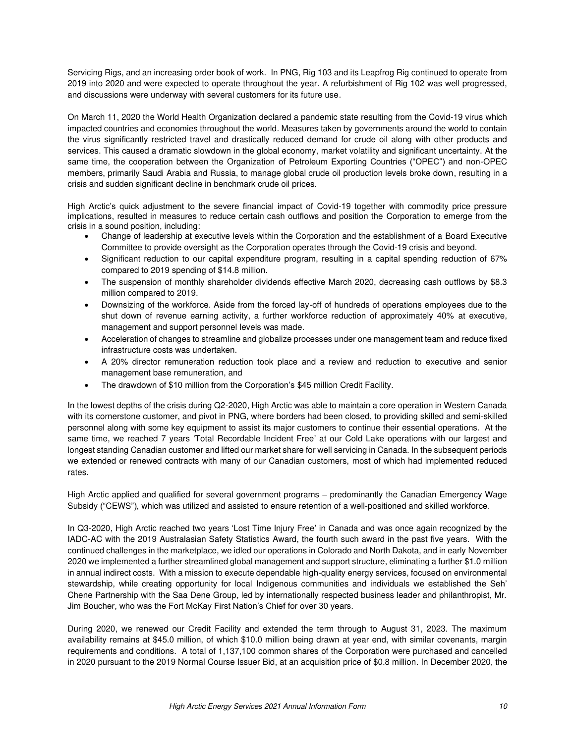Servicing Rigs, and an increasing order book of work. In PNG, Rig 103 and its Leapfrog Rig continued to operate from 2019 into 2020 and were expected to operate throughout the year. A refurbishment of Rig 102 was well progressed, and discussions were underway with several customers for its future use.

On March 11, 2020 the World Health Organization declared a pandemic state resulting from the Covid-19 virus which impacted countries and economies throughout the world. Measures taken by governments around the world to contain the virus significantly restricted travel and drastically reduced demand for crude oil along with other products and services. This caused a dramatic slowdown in the global economy, market volatility and significant uncertainty. At the same time, the cooperation between the Organization of Petroleum Exporting Countries ("OPEC") and non-OPEC members, primarily Saudi Arabia and Russia, to manage global crude oil production levels broke down, resulting in a crisis and sudden significant decline in benchmark crude oil prices.

High Arctic's quick adjustment to the severe financial impact of Covid-19 together with commodity price pressure implications, resulted in measures to reduce certain cash outflows and position the Corporation to emerge from the crisis in a sound position, including:

- Change of leadership at executive levels within the Corporation and the establishment of a Board Executive Committee to provide oversight as the Corporation operates through the Covid-19 crisis and beyond.
- Significant reduction to our capital expenditure program, resulting in a capital spending reduction of 67% compared to 2019 spending of \$14.8 million.
- The suspension of monthly shareholder dividends effective March 2020, decreasing cash outflows by \$8.3 million compared to 2019.
- Downsizing of the workforce. Aside from the forced lay-off of hundreds of operations employees due to the shut down of revenue earning activity, a further workforce reduction of approximately 40% at executive, management and support personnel levels was made.
- Acceleration of changes to streamline and globalize processes under one management team and reduce fixed infrastructure costs was undertaken.
- A 20% director remuneration reduction took place and a review and reduction to executive and senior management base remuneration, and
- The drawdown of \$10 million from the Corporation's \$45 million Credit Facility.

In the lowest depths of the crisis during Q2-2020, High Arctic was able to maintain a core operation in Western Canada with its cornerstone customer, and pivot in PNG, where borders had been closed, to providing skilled and semi-skilled personnel along with some key equipment to assist its major customers to continue their essential operations. At the same time, we reached 7 years 'Total Recordable Incident Free' at our Cold Lake operations with our largest and longest standing Canadian customer and lifted our market share for well servicing in Canada. In the subsequent periods we extended or renewed contracts with many of our Canadian customers, most of which had implemented reduced rates.

High Arctic applied and qualified for several government programs – predominantly the Canadian Emergency Wage Subsidy ("CEWS"), which was utilized and assisted to ensure retention of a well-positioned and skilled workforce.

In Q3-2020, High Arctic reached two years 'Lost Time Injury Free' in Canada and was once again recognized by the IADC-AC with the 2019 Australasian Safety Statistics Award, the fourth such award in the past five years. With the continued challenges in the marketplace, we idled our operations in Colorado and North Dakota, and in early November 2020 we implemented a further streamlined global management and support structure, eliminating a further \$1.0 million in annual indirect costs. With a mission to execute dependable high-quality energy services, focused on environmental stewardship, while creating opportunity for local Indigenous communities and individuals we established the Seh' Chene Partnership with the Saa Dene Group, led by internationally respected business leader and philanthropist, Mr. Jim Boucher, who was the Fort McKay First Nation's Chief for over 30 years.

During 2020, we renewed our Credit Facility and extended the term through to August 31, 2023. The maximum availability remains at \$45.0 million, of which \$10.0 million being drawn at year end, with similar covenants, margin requirements and conditions. A total of 1,137,100 common shares of the Corporation were purchased and cancelled in 2020 pursuant to the 2019 Normal Course Issuer Bid, at an acquisition price of \$0.8 million. In December 2020, the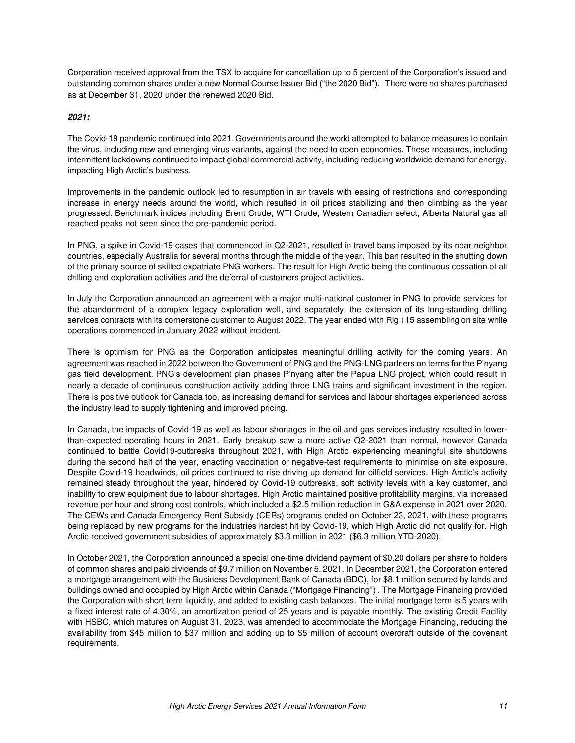Corporation received approval from the TSX to acquire for cancellation up to 5 percent of the Corporation's issued and outstanding common shares under a new Normal Course Issuer Bid ("the 2020 Bid"). There were no shares purchased as at December 31, 2020 under the renewed 2020 Bid.

### *2021:*

The Covid-19 pandemic continued into 2021. Governments around the world attempted to balance measures to contain the virus, including new and emerging virus variants, against the need to open economies. These measures, including intermittent lockdowns continued to impact global commercial activity, including reducing worldwide demand for energy, impacting High Arctic's business.

Improvements in the pandemic outlook led to resumption in air travels with easing of restrictions and corresponding increase in energy needs around the world, which resulted in oil prices stabilizing and then climbing as the year progressed. Benchmark indices including Brent Crude, WTI Crude, Western Canadian select, Alberta Natural gas all reached peaks not seen since the pre-pandemic period.

In PNG, a spike in Covid-19 cases that commenced in Q2-2021, resulted in travel bans imposed by its near neighbor countries, especially Australia for several months through the middle of the year. This ban resulted in the shutting down of the primary source of skilled expatriate PNG workers. The result for High Arctic being the continuous cessation of all drilling and exploration activities and the deferral of customers project activities.

In July the Corporation announced an agreement with a major multi-national customer in PNG to provide services for the abandonment of a complex legacy exploration well, and separately, the extension of its long-standing drilling services contracts with its cornerstone customer to August 2022. The year ended with Rig 115 assembling on site while operations commenced in January 2022 without incident.

There is optimism for PNG as the Corporation anticipates meaningful drilling activity for the coming years. An agreement was reached in 2022 between the Government of PNG and the PNG-LNG partners on terms for the P'nyang gas field development. PNG's development plan phases P'nyang after the Papua LNG project, which could result in nearly a decade of continuous construction activity adding three LNG trains and significant investment in the region. There is positive outlook for Canada too, as increasing demand for services and labour shortages experienced across the industry lead to supply tightening and improved pricing.

In Canada, the impacts of Covid-19 as well as labour shortages in the oil and gas services industry resulted in lowerthan-expected operating hours in 2021. Early breakup saw a more active Q2-2021 than normal, however Canada continued to battle Covid19-outbreaks throughout 2021, with High Arctic experiencing meaningful site shutdowns during the second half of the year, enacting vaccination or negative-test requirements to minimise on site exposure. Despite Covid-19 headwinds, oil prices continued to rise driving up demand for oilfield services. High Arctic's activity remained steady throughout the year, hindered by Covid-19 outbreaks, soft activity levels with a key customer, and inability to crew equipment due to labour shortages. High Arctic maintained positive profitability margins, via increased revenue per hour and strong cost controls, which included a \$2.5 million reduction in G&A expense in 2021 over 2020. The CEWs and Canada Emergency Rent Subsidy (CERs) programs ended on October 23, 2021, with these programs being replaced by new programs for the industries hardest hit by Covid-19, which High Arctic did not qualify for. High Arctic received government subsidies of approximately \$3.3 million in 2021 (\$6.3 million YTD-2020).

In October 2021, the Corporation announced a special one-time dividend payment of \$0.20 dollars per share to holders of common shares and paid dividends of \$9.7 million on November 5, 2021. In December 2021, the Corporation entered a mortgage arrangement with the Business Development Bank of Canada (BDC), for \$8.1 million secured by lands and buildings owned and occupied by High Arctic within Canada ("Mortgage Financing") . The Mortgage Financing provided the Corporation with short term liquidity, and added to existing cash balances. The initial mortgage term is 5 years with a fixed interest rate of 4.30%, an amortization period of 25 years and is payable monthly. The existing Credit Facility with HSBC, which matures on August 31, 2023, was amended to accommodate the Mortgage Financing, reducing the availability from \$45 million to \$37 million and adding up to \$5 million of account overdraft outside of the covenant requirements.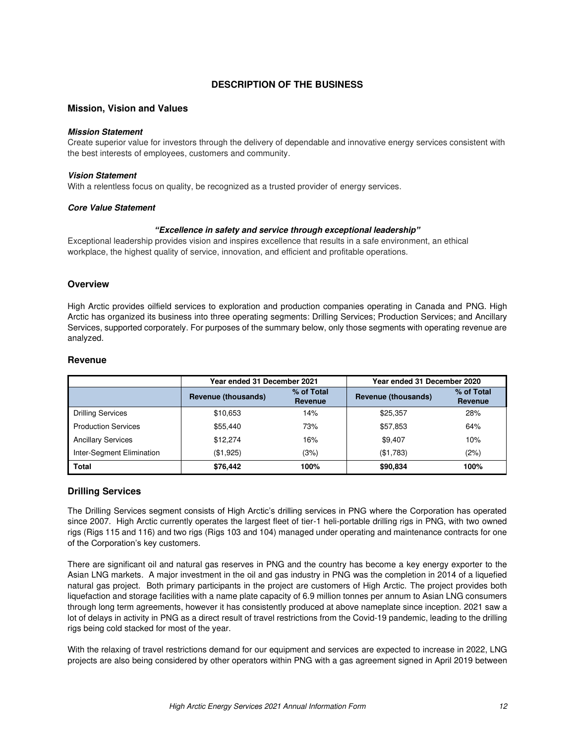# **DESCRIPTION OF THE BUSINESS**

### <span id="page-11-0"></span>**Mission, Vision and Values**

#### *Mission Statement*

Create superior value for investors through the delivery of dependable and innovative energy services consistent with the best interests of employees, customers and community.

#### *Vision Statement*

With a relentless focus on quality, be recognized as a trusted provider of energy services.

#### *Core Value Statement*

#### *"Excellence in safety and service through exceptional leadership"*

Exceptional leadership provides vision and inspires excellence that results in a safe environment, an ethical workplace, the highest quality of service, innovation, and efficient and profitable operations.

#### **Overview**

High Arctic provides oilfield services to exploration and production companies operating in Canada and PNG. High Arctic has organized its business into three operating segments: Drilling Services; Production Services; and Ancillary Services, supported corporately. For purposes of the summary below, only those segments with operating revenue are analyzed.

### **Revenue**

|                            | Year ended 31 December 2021 |                       | Year ended 31 December 2020 |                       |
|----------------------------|-----------------------------|-----------------------|-----------------------------|-----------------------|
|                            | Revenue (thousands)         | % of Total<br>Revenue | Revenue (thousands)         | % of Total<br>Revenue |
| <b>Drilling Services</b>   | \$10,653                    | 14%                   | \$25.357                    | 28%                   |
| <b>Production Services</b> | \$55.440                    | 73%                   | \$57,853                    | 64%                   |
| <b>Ancillary Services</b>  | \$12,274                    | 16%                   | \$9,407                     | 10%                   |
| Inter-Segment Elimination  | (\$1,925)                   | (3%)                  | (\$1,783)                   | (2%)                  |
| <b>Total</b>               | \$76.442                    | 100%                  | \$90,834                    | 100%                  |

#### **Drilling Services**

The Drilling Services segment consists of High Arctic's drilling services in PNG where the Corporation has operated since 2007. High Arctic currently operates the largest fleet of tier-1 heli-portable drilling rigs in PNG, with two owned rigs (Rigs 115 and 116) and two rigs (Rigs 103 and 104) managed under operating and maintenance contracts for one of the Corporation's key customers.

There are significant oil and natural gas reserves in PNG and the country has become a key energy exporter to the Asian LNG markets. A major investment in the oil and gas industry in PNG was the completion in 2014 of a liquefied natural gas project. Both primary participants in the project are customers of High Arctic. The project provides both liquefaction and storage facilities with a name plate capacity of 6.9 million tonnes per annum to Asian LNG consumers through long term agreements, however it has consistently produced at above nameplate since inception. 2021 saw a lot of delays in activity in PNG as a direct result of travel restrictions from the Covid-19 pandemic, leading to the drilling rigs being cold stacked for most of the year.

With the relaxing of travel restrictions demand for our equipment and services are expected to increase in 2022, LNG projects are also being considered by other operators within PNG with a gas agreement signed in April 2019 between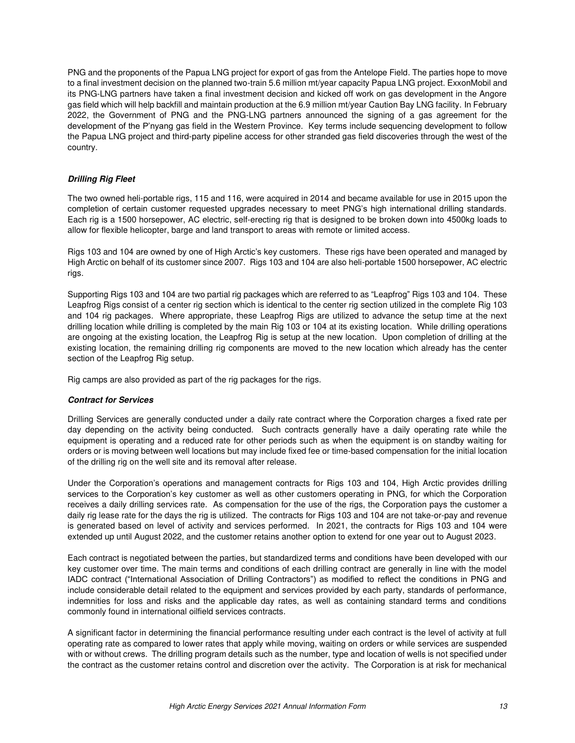PNG and the proponents of the Papua LNG project for export of gas from the Antelope Field. The parties hope to move to a final investment decision on the planned two-train 5.6 million mt/year capacity Papua LNG project. ExxonMobil and its PNG-LNG partners have taken a final investment decision and kicked off work on gas development in the Angore gas field which will help backfill and maintain production at the 6.9 million mt/year Caution Bay LNG facility. In February 2022, the Government of PNG and the PNG-LNG partners announced the signing of a gas agreement for the development of the P'nyang gas field in the Western Province. Key terms include sequencing development to follow the Papua LNG project and third-party pipeline access for other stranded gas field discoveries through the west of the country.

### *Drilling Rig Fleet*

The two owned heli-portable rigs, 115 and 116, were acquired in 2014 and became available for use in 2015 upon the completion of certain customer requested upgrades necessary to meet PNG's high international drilling standards. Each rig is a 1500 horsepower, AC electric, self-erecting rig that is designed to be broken down into 4500kg loads to allow for flexible helicopter, barge and land transport to areas with remote or limited access.

Rigs 103 and 104 are owned by one of High Arctic's key customers. These rigs have been operated and managed by High Arctic on behalf of its customer since 2007. Rigs 103 and 104 are also heli-portable 1500 horsepower, AC electric rigs.

Supporting Rigs 103 and 104 are two partial rig packages which are referred to as "Leapfrog" Rigs 103 and 104. These Leapfrog Rigs consist of a center rig section which is identical to the center rig section utilized in the complete Rig 103 and 104 rig packages. Where appropriate, these Leapfrog Rigs are utilized to advance the setup time at the next drilling location while drilling is completed by the main Rig 103 or 104 at its existing location. While drilling operations are ongoing at the existing location, the Leapfrog Rig is setup at the new location. Upon completion of drilling at the existing location, the remaining drilling rig components are moved to the new location which already has the center section of the Leapfrog Rig setup.

Rig camps are also provided as part of the rig packages for the rigs.

#### *Contract for Services*

Drilling Services are generally conducted under a daily rate contract where the Corporation charges a fixed rate per day depending on the activity being conducted. Such contracts generally have a daily operating rate while the equipment is operating and a reduced rate for other periods such as when the equipment is on standby waiting for orders or is moving between well locations but may include fixed fee or time-based compensation for the initial location of the drilling rig on the well site and its removal after release.

Under the Corporation's operations and management contracts for Rigs 103 and 104, High Arctic provides drilling services to the Corporation's key customer as well as other customers operating in PNG, for which the Corporation receives a daily drilling services rate. As compensation for the use of the rigs, the Corporation pays the customer a daily rig lease rate for the days the rig is utilized. The contracts for Rigs 103 and 104 are not take-or-pay and revenue is generated based on level of activity and services performed. In 2021, the contracts for Rigs 103 and 104 were extended up until August 2022, and the customer retains another option to extend for one year out to August 2023.

Each contract is negotiated between the parties, but standardized terms and conditions have been developed with our key customer over time. The main terms and conditions of each drilling contract are generally in line with the model IADC contract ("International Association of Drilling Contractors") as modified to reflect the conditions in PNG and include considerable detail related to the equipment and services provided by each party, standards of performance, indemnities for loss and risks and the applicable day rates, as well as containing standard terms and conditions commonly found in international oilfield services contracts.

A significant factor in determining the financial performance resulting under each contract is the level of activity at full operating rate as compared to lower rates that apply while moving, waiting on orders or while services are suspended with or without crews. The drilling program details such as the number, type and location of wells is not specified under the contract as the customer retains control and discretion over the activity. The Corporation is at risk for mechanical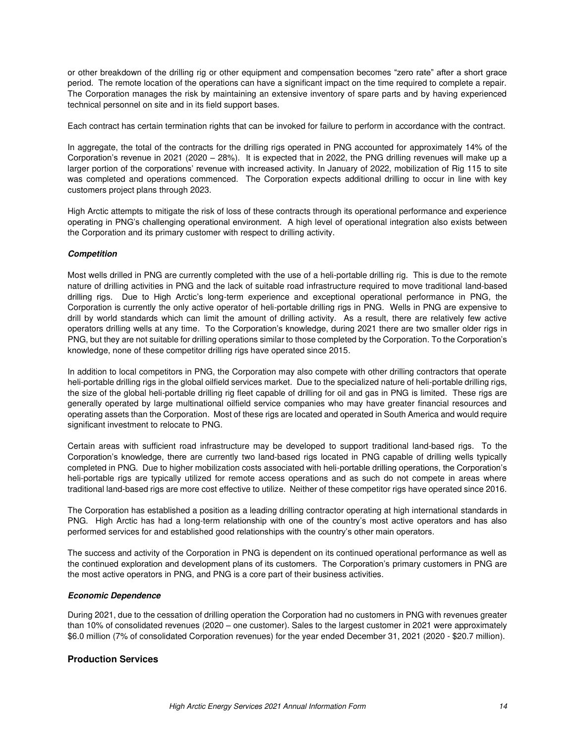or other breakdown of the drilling rig or other equipment and compensation becomes "zero rate" after a short grace period. The remote location of the operations can have a significant impact on the time required to complete a repair. The Corporation manages the risk by maintaining an extensive inventory of spare parts and by having experienced technical personnel on site and in its field support bases.

Each contract has certain termination rights that can be invoked for failure to perform in accordance with the contract.

In aggregate, the total of the contracts for the drilling rigs operated in PNG accounted for approximately 14% of the Corporation's revenue in 2021 (2020 – 28%). It is expected that in 2022, the PNG drilling revenues will make up a larger portion of the corporations' revenue with increased activity. In January of 2022, mobilization of Rig 115 to site was completed and operations commenced. The Corporation expects additional drilling to occur in line with key customers project plans through 2023.

High Arctic attempts to mitigate the risk of loss of these contracts through its operational performance and experience operating in PNG's challenging operational environment. A high level of operational integration also exists between the Corporation and its primary customer with respect to drilling activity.

### *Competition*

Most wells drilled in PNG are currently completed with the use of a heli-portable drilling rig. This is due to the remote nature of drilling activities in PNG and the lack of suitable road infrastructure required to move traditional land-based drilling rigs. Due to High Arctic's long-term experience and exceptional operational performance in PNG, the Corporation is currently the only active operator of heli-portable drilling rigs in PNG. Wells in PNG are expensive to drill by world standards which can limit the amount of drilling activity. As a result, there are relatively few active operators drilling wells at any time. To the Corporation's knowledge, during 2021 there are two smaller older rigs in PNG, but they are not suitable for drilling operations similar to those completed by the Corporation. To the Corporation's knowledge, none of these competitor drilling rigs have operated since 2015.

In addition to local competitors in PNG, the Corporation may also compete with other drilling contractors that operate heli-portable drilling rigs in the global oilfield services market. Due to the specialized nature of heli-portable drilling rigs, the size of the global heli-portable drilling rig fleet capable of drilling for oil and gas in PNG is limited. These rigs are generally operated by large multinational oilfield service companies who may have greater financial resources and operating assets than the Corporation. Most of these rigs are located and operated in South America and would require significant investment to relocate to PNG.

Certain areas with sufficient road infrastructure may be developed to support traditional land-based rigs. To the Corporation's knowledge, there are currently two land-based rigs located in PNG capable of drilling wells typically completed in PNG. Due to higher mobilization costs associated with heli-portable drilling operations, the Corporation's heli-portable rigs are typically utilized for remote access operations and as such do not compete in areas where traditional land-based rigs are more cost effective to utilize. Neither of these competitor rigs have operated since 2016.

The Corporation has established a position as a leading drilling contractor operating at high international standards in PNG. High Arctic has had a long-term relationship with one of the country's most active operators and has also performed services for and established good relationships with the country's other main operators.

The success and activity of the Corporation in PNG is dependent on its continued operational performance as well as the continued exploration and development plans of its customers. The Corporation's primary customers in PNG are the most active operators in PNG, and PNG is a core part of their business activities.

#### *Economic Dependence*

During 2021, due to the cessation of drilling operation the Corporation had no customers in PNG with revenues greater than 10% of consolidated revenues (2020 – one customer). Sales to the largest customer in 2021 were approximately \$6.0 million (7% of consolidated Corporation revenues) for the year ended December 31, 2021 (2020 - \$20.7 million).

## **Production Services**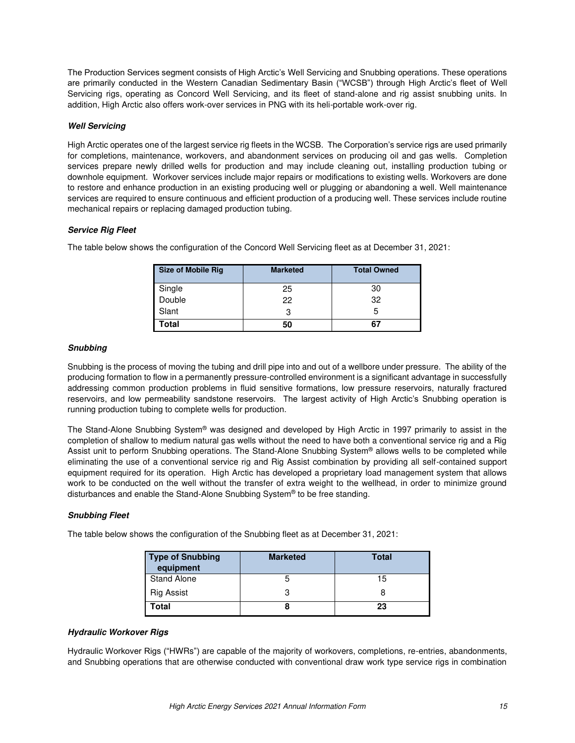The Production Services segment consists of High Arctic's Well Servicing and Snubbing operations. These operations are primarily conducted in the Western Canadian Sedimentary Basin ("WCSB") through High Arctic's fleet of Well Servicing rigs, operating as Concord Well Servicing, and its fleet of stand-alone and rig assist snubbing units. In addition, High Arctic also offers work-over services in PNG with its heli-portable work-over rig.

### *Well Servicing*

High Arctic operates one of the largest service rig fleets in the WCSB. The Corporation's service rigs are used primarily for completions, maintenance, workovers, and abandonment services on producing oil and gas wells. Completion services prepare newly drilled wells for production and may include cleaning out, installing production tubing or downhole equipment. Workover services include major repairs or modifications to existing wells. Workovers are done to restore and enhance production in an existing producing well or plugging or abandoning a well. Well maintenance services are required to ensure continuous and efficient production of a producing well. These services include routine mechanical repairs or replacing damaged production tubing.

### *Service Rig Fleet*

The table below shows the configuration of the Concord Well Servicing fleet as at December 31, 2021:

| <b>Size of Mobile Rig</b> | <b>Marketed</b> | <b>Total Owned</b> |
|---------------------------|-----------------|--------------------|
| Single<br>Double          | 25              | 30                 |
|                           | 22              | 32                 |
| Slant                     |                 | b                  |
| Total                     | 50              | 67                 |

### *Snubbing*

Snubbing is the process of moving the tubing and drill pipe into and out of a wellbore under pressure. The ability of the producing formation to flow in a permanently pressure-controlled environment is a significant advantage in successfully addressing common production problems in fluid sensitive formations, low pressure reservoirs, naturally fractured reservoirs, and low permeability sandstone reservoirs. The largest activity of High Arctic's Snubbing operation is running production tubing to complete wells for production.

The Stand-Alone Snubbing System® was designed and developed by High Arctic in 1997 primarily to assist in the completion of shallow to medium natural gas wells without the need to have both a conventional service rig and a Rig Assist unit to perform Snubbing operations. The Stand-Alone Snubbing System<sup>®</sup> allows wells to be completed while eliminating the use of a conventional service rig and Rig Assist combination by providing all self-contained support equipment required for its operation. High Arctic has developed a proprietary load management system that allows work to be conducted on the well without the transfer of extra weight to the wellhead, in order to minimize ground disturbances and enable the Stand-Alone Snubbing System® to be free standing.

### *Snubbing Fleet*

The table below shows the configuration of the Snubbing fleet as at December 31, 2021:

| <b>Type of Snubbing</b><br>equipment | <b>Marketed</b> | <b>Total</b> |
|--------------------------------------|-----------------|--------------|
| <b>Stand Alone</b>                   |                 | 15           |
| Rig Assist                           |                 |              |
| Гоtal                                |                 | 23           |

#### *Hydraulic Workover Rigs*

Hydraulic Workover Rigs ("HWRs") are capable of the majority of workovers, completions, re-entries, abandonments, and Snubbing operations that are otherwise conducted with conventional draw work type service rigs in combination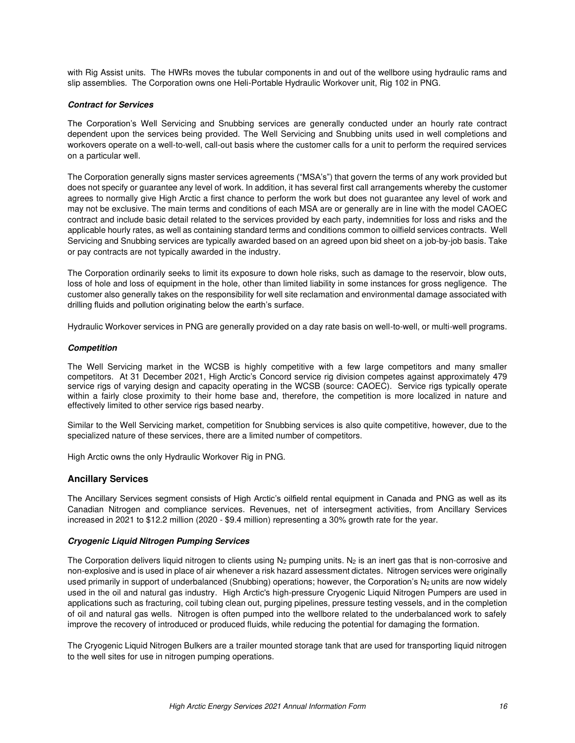with Rig Assist units. The HWRs moves the tubular components in and out of the wellbore using hydraulic rams and slip assemblies. The Corporation owns one Heli-Portable Hydraulic Workover unit, Rig 102 in PNG.

#### *Contract for Services*

The Corporation's Well Servicing and Snubbing services are generally conducted under an hourly rate contract dependent upon the services being provided. The Well Servicing and Snubbing units used in well completions and workovers operate on a well-to-well, call-out basis where the customer calls for a unit to perform the required services on a particular well.

The Corporation generally signs master services agreements ("MSA's") that govern the terms of any work provided but does not specify or guarantee any level of work. In addition, it has several first call arrangements whereby the customer agrees to normally give High Arctic a first chance to perform the work but does not guarantee any level of work and may not be exclusive. The main terms and conditions of each MSA are or generally are in line with the model CAOEC contract and include basic detail related to the services provided by each party, indemnities for loss and risks and the applicable hourly rates, as well as containing standard terms and conditions common to oilfield services contracts. Well Servicing and Snubbing services are typically awarded based on an agreed upon bid sheet on a job-by-job basis. Take or pay contracts are not typically awarded in the industry.

The Corporation ordinarily seeks to limit its exposure to down hole risks, such as damage to the reservoir, blow outs, loss of hole and loss of equipment in the hole, other than limited liability in some instances for gross negligence. The customer also generally takes on the responsibility for well site reclamation and environmental damage associated with drilling fluids and pollution originating below the earth's surface.

Hydraulic Workover services in PNG are generally provided on a day rate basis on well-to-well, or multi-well programs.

### *Competition*

The Well Servicing market in the WCSB is highly competitive with a few large competitors and many smaller competitors. At 31 December 2021, High Arctic's Concord service rig division competes against approximately 479 service rigs of varying design and capacity operating in the WCSB (source: CAOEC). Service rigs typically operate within a fairly close proximity to their home base and, therefore, the competition is more localized in nature and effectively limited to other service rigs based nearby.

Similar to the Well Servicing market, competition for Snubbing services is also quite competitive, however, due to the specialized nature of these services, there are a limited number of competitors.

High Arctic owns the only Hydraulic Workover Rig in PNG.

### **Ancillary Services**

The Ancillary Services segment consists of High Arctic's oilfield rental equipment in Canada and PNG as well as its Canadian Nitrogen and compliance services. Revenues, net of intersegment activities, from Ancillary Services increased in 2021 to \$12.2 million (2020 - \$9.4 million) representing a 30% growth rate for the year.

#### *Cryogenic Liquid Nitrogen Pumping Services*

The Corporation delivers liquid nitrogen to clients using  $N_2$  pumping units.  $N_2$  is an inert gas that is non-corrosive and non-explosive and is used in place of air whenever a risk hazard assessment dictates. Nitrogen services were originally used primarily in support of underbalanced (Snubbing) operations; however, the Corporation's N<sub>2</sub> units are now widely used in the oil and natural gas industry. High Arctic's high-pressure Cryogenic Liquid Nitrogen Pumpers are used in applications such as fracturing, coil tubing clean out, purging pipelines, pressure testing vessels, and in the completion of oil and natural gas wells. Nitrogen is often pumped into the wellbore related to the underbalanced work to safely improve the recovery of introduced or produced fluids, while reducing the potential for damaging the formation.

The Cryogenic Liquid Nitrogen Bulkers are a trailer mounted storage tank that are used for transporting liquid nitrogen to the well sites for use in nitrogen pumping operations.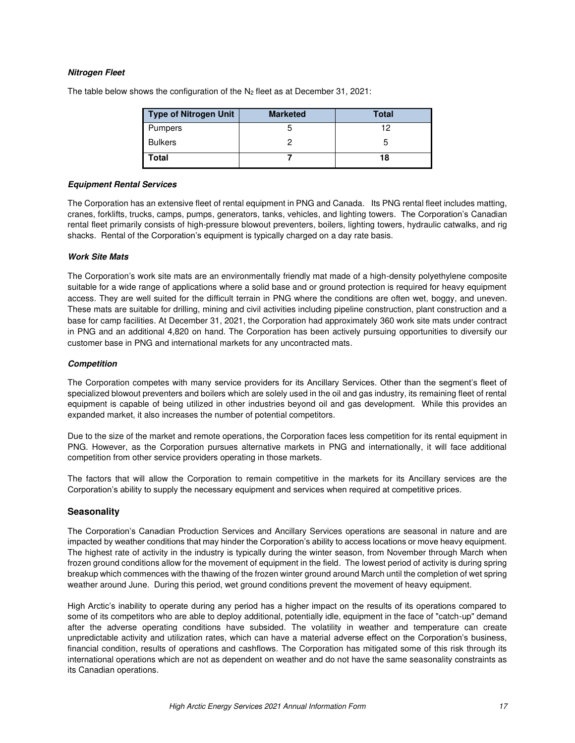### *Nitrogen Fleet*

| <b>Type of Nitrogen Unit</b> | <b>Marketed</b> | <b>Total</b> |
|------------------------------|-----------------|--------------|
| <b>Pumpers</b>               |                 |              |
| <b>Bulkers</b>               |                 |              |
| Total                        |                 | 18           |

The table below shows the configuration of the  $N_2$  fleet as at December 31, 2021:

#### *Equipment Rental Services*

The Corporation has an extensive fleet of rental equipment in PNG and Canada. Its PNG rental fleet includes matting, cranes, forklifts, trucks, camps, pumps, generators, tanks, vehicles, and lighting towers. The Corporation's Canadian rental fleet primarily consists of high-pressure blowout preventers, boilers, lighting towers, hydraulic catwalks, and rig shacks. Rental of the Corporation's equipment is typically charged on a day rate basis.

#### *Work Site Mats*

The Corporation's work site mats are an environmentally friendly mat made of a high-density polyethylene composite suitable for a wide range of applications where a solid base and or ground protection is required for heavy equipment access. They are well suited for the difficult terrain in PNG where the conditions are often wet, boggy, and uneven. These mats are suitable for drilling, mining and civil activities including pipeline construction, plant construction and a base for camp facilities. At December 31, 2021, the Corporation had approximately 360 work site mats under contract in PNG and an additional 4,820 on hand. The Corporation has been actively pursuing opportunities to diversify our customer base in PNG and international markets for any uncontracted mats.

#### *Competition*

The Corporation competes with many service providers for its Ancillary Services. Other than the segment's fleet of specialized blowout preventers and boilers which are solely used in the oil and gas industry, its remaining fleet of rental equipment is capable of being utilized in other industries beyond oil and gas development. While this provides an expanded market, it also increases the number of potential competitors.

Due to the size of the market and remote operations, the Corporation faces less competition for its rental equipment in PNG. However, as the Corporation pursues alternative markets in PNG and internationally, it will face additional competition from other service providers operating in those markets.

The factors that will allow the Corporation to remain competitive in the markets for its Ancillary services are the Corporation's ability to supply the necessary equipment and services when required at competitive prices.

#### **Seasonality**

The Corporation's Canadian Production Services and Ancillary Services operations are seasonal in nature and are impacted by weather conditions that may hinder the Corporation's ability to access locations or move heavy equipment. The highest rate of activity in the industry is typically during the winter season, from November through March when frozen ground conditions allow for the movement of equipment in the field. The lowest period of activity is during spring breakup which commences with the thawing of the frozen winter ground around March until the completion of wet spring weather around June. During this period, wet ground conditions prevent the movement of heavy equipment.

High Arctic's inability to operate during any period has a higher impact on the results of its operations compared to some of its competitors who are able to deploy additional, potentially idle, equipment in the face of "catch-up" demand after the adverse operating conditions have subsided. The volatility in weather and temperature can create unpredictable activity and utilization rates, which can have a material adverse effect on the Corporation's business, financial condition, results of operations and cashflows. The Corporation has mitigated some of this risk through its international operations which are not as dependent on weather and do not have the same seasonality constraints as its Canadian operations.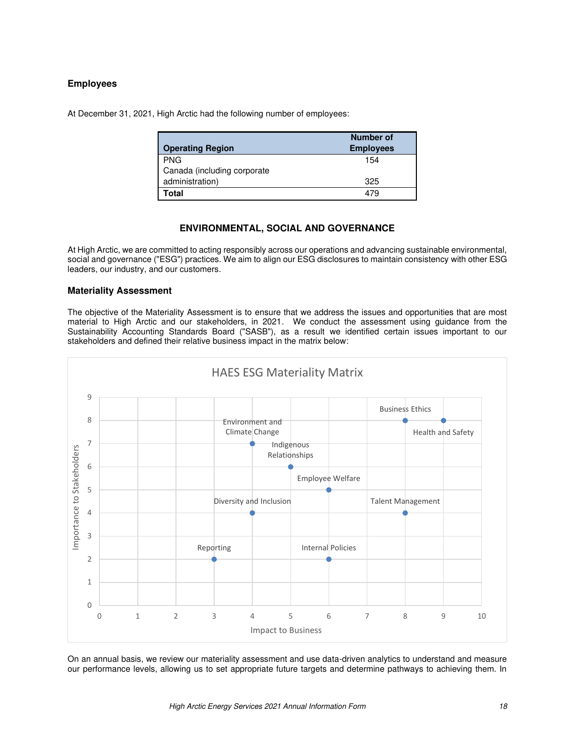# **Employees**

At December 31, 2021, High Arctic had the following number of employees:

| <b>Operating Region</b>     | Number of<br><b>Employees</b> |
|-----------------------------|-------------------------------|
| <b>PNG</b>                  | 154                           |
| Canada (including corporate |                               |
| administration)             | 325                           |
| Total                       | 479                           |

# **ENVIRONMENTAL, SOCIAL AND GOVERNANCE**

<span id="page-17-0"></span>At High Arctic, we are committed to acting responsibly across our operations and advancing sustainable environmental, social and governance ("ESG") practices. We aim to align our ESG disclosures to maintain consistency with other ESG leaders, our industry, and our customers.

### **Materiality Assessment**

The objective of the Materiality Assessment is to ensure that we address the issues and opportunities that are most material to High Arctic and our stakeholders, in 2021. We conduct the assessment using guidance from the Sustainability Accounting Standards Board ("SASB"), as a result we identified certain issues important to our stakeholders and defined their relative business impact in the matrix below:



On an annual basis, we review our materiality assessment and use data-driven analytics to understand and measure our performance levels, allowing us to set appropriate future targets and determine pathways to achieving them. In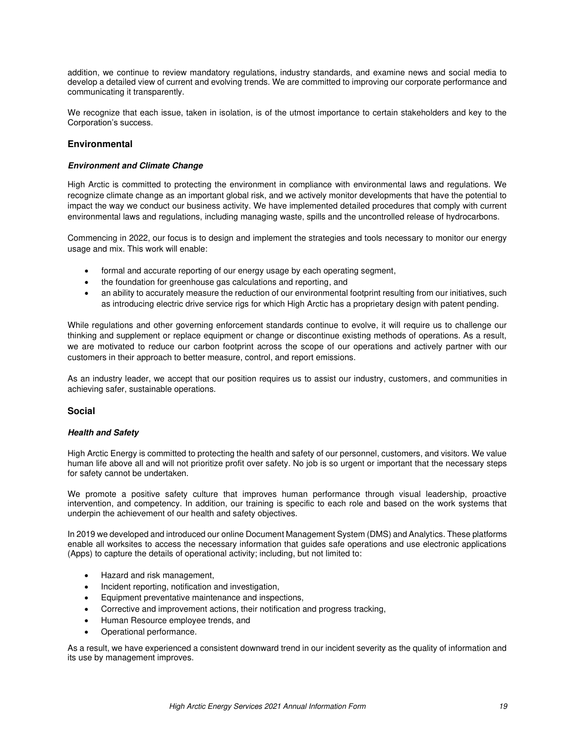addition, we continue to review mandatory regulations, industry standards, and examine news and social media to develop a detailed view of current and evolving trends. We are committed to improving our corporate performance and communicating it transparently.

We recognize that each issue, taken in isolation, is of the utmost importance to certain stakeholders and key to the Corporation's success.

## **Environmental**

### *Environment and Climate Change*

High Arctic is committed to protecting the environment in compliance with environmental laws and regulations. We recognize climate change as an important global risk, and we actively monitor developments that have the potential to impact the way we conduct our business activity. We have implemented detailed procedures that comply with current environmental laws and regulations, including managing waste, spills and the uncontrolled release of hydrocarbons.

Commencing in 2022, our focus is to design and implement the strategies and tools necessary to monitor our energy usage and mix. This work will enable:

- formal and accurate reporting of our energy usage by each operating segment,
- the foundation for greenhouse gas calculations and reporting, and
- an ability to accurately measure the reduction of our environmental footprint resulting from our initiatives, such as introducing electric drive service rigs for which High Arctic has a proprietary design with patent pending.

While regulations and other governing enforcement standards continue to evolve, it will require us to challenge our thinking and supplement or replace equipment or change or discontinue existing methods of operations. As a result, we are motivated to reduce our carbon footprint across the scope of our operations and actively partner with our customers in their approach to better measure, control, and report emissions.

As an industry leader, we accept that our position requires us to assist our industry, customers, and communities in achieving safer, sustainable operations.

### **Social**

#### *Health and Safety*

High Arctic Energy is committed to protecting the health and safety of our personnel, customers, and visitors. We value human life above all and will not prioritize profit over safety. No job is so urgent or important that the necessary steps for safety cannot be undertaken.

We promote a positive safety culture that improves human performance through visual leadership, proactive intervention, and competency. In addition, our training is specific to each role and based on the work systems that underpin the achievement of our health and safety objectives.

In 2019 we developed and introduced our online Document Management System (DMS) and Analytics. These platforms enable all worksites to access the necessary information that guides safe operations and use electronic applications (Apps) to capture the details of operational activity; including, but not limited to:

- Hazard and risk management,
- Incident reporting, notification and investigation,
- Equipment preventative maintenance and inspections,
- Corrective and improvement actions, their notification and progress tracking,
- Human Resource employee trends, and
- Operational performance.

As a result, we have experienced a consistent downward trend in our incident severity as the quality of information and its use by management improves.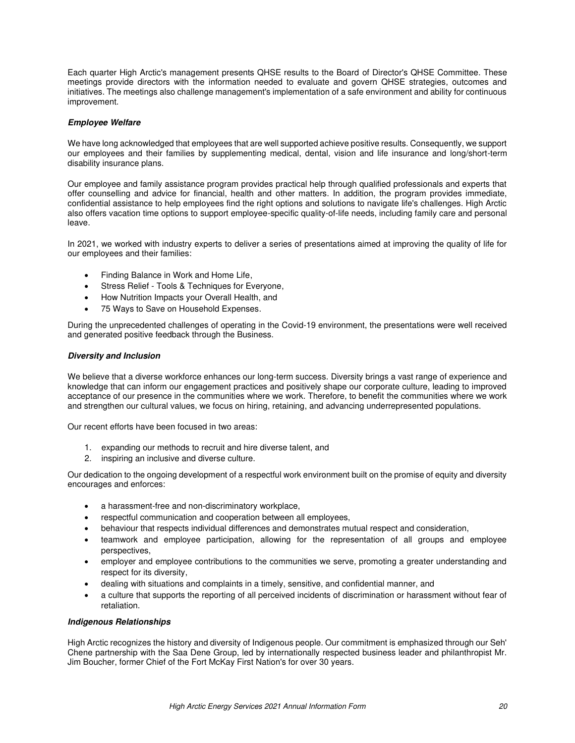Each quarter High Arctic's management presents QHSE results to the Board of Director's QHSE Committee. These meetings provide directors with the information needed to evaluate and govern QHSE strategies, outcomes and initiatives. The meetings also challenge management's implementation of a safe environment and ability for continuous improvement.

### *Employee Welfare*

We have long acknowledged that employees that are well supported achieve positive results. Consequently, we support our employees and their families by supplementing medical, dental, vision and life insurance and long/short-term disability insurance plans.

Our employee and family assistance program provides practical help through qualified professionals and experts that offer counselling and advice for financial, health and other matters. In addition, the program provides immediate, confidential assistance to help employees find the right options and solutions to navigate life's challenges. High Arctic also offers vacation time options to support employee-specific quality-of-life needs, including family care and personal leave.

In 2021, we worked with industry experts to deliver a series of presentations aimed at improving the quality of life for our employees and their families:

- [Finding Balance in Work and Home Life,](https://haescanada.sharepoint.com/sites/Intranet/SitePages/Lunch-%26-Learn.aspx#wellness-webinar-finding-balance-in-work-and-home-life)
- [Stress Relief Tools & Techniques for Everyone,](https://haescanada.sharepoint.com/sites/Intranet/SitePages/Lunch-%26-Learn.aspx#wellness-webinar-stress-relief-tools-techniques-for-everyone)
- [How Nutrition Impacts your Overall Health,](https://haescanada.sharepoint.com/sites/Intranet/SitePages/Lunch-%26-Learn.aspx#wellness-webinar-how-nutrition-impacts-your-overall-health-including-tips-for-eating-well-on-shift-work) and
- [75 Ways to Save on Household Expenses.](https://haescanada.sharepoint.com/sites/Intranet/SitePages/Lunch-%26-Learn.aspx#wellness-webinar-75-ways-to-save-on-household-expenses)

During the unprecedented challenges of operating in the Covid-19 environment, the presentations were well received and generated positive feedback through the Business.

#### *Diversity and Inclusion*

We believe that a diverse workforce enhances our long-term success. Diversity brings a vast range of experience and knowledge that can inform our engagement practices and positively shape our corporate culture, leading to improved acceptance of our presence in the communities where we work. Therefore, to benefit the communities where we work and strengthen our cultural values, we focus on hiring, retaining, and advancing underrepresented populations.

Our recent efforts have been focused in two areas:

- 1. expanding our methods to recruit and hire diverse talent, and
- 2. inspiring an inclusive and diverse culture.

Our dedication to the ongoing development of a respectful work environment built on the promise of equity and diversity encourages and enforces:

- a harassment-free and non-discriminatory workplace,
- respectful communication and cooperation between all employees,
- behaviour that respects individual differences and demonstrates mutual respect and consideration,
- teamwork and employee participation, allowing for the representation of all groups and employee perspectives,
- employer and employee contributions to the communities we serve, promoting a greater understanding and respect for its diversity,
- dealing with situations and complaints in a timely, sensitive, and confidential manner, and
- a culture that supports the reporting of all perceived incidents of discrimination or harassment without fear of retaliation.

#### *Indigenous Relationships*

High Arctic recognizes the history and diversity of Indigenous people. Our commitment is emphasized through our Seh' Chene partnership with the Saa Dene Group, led by internationally respected business leader and philanthropist Mr. Jim Boucher, former Chief of the Fort McKay First Nation's for over 30 years.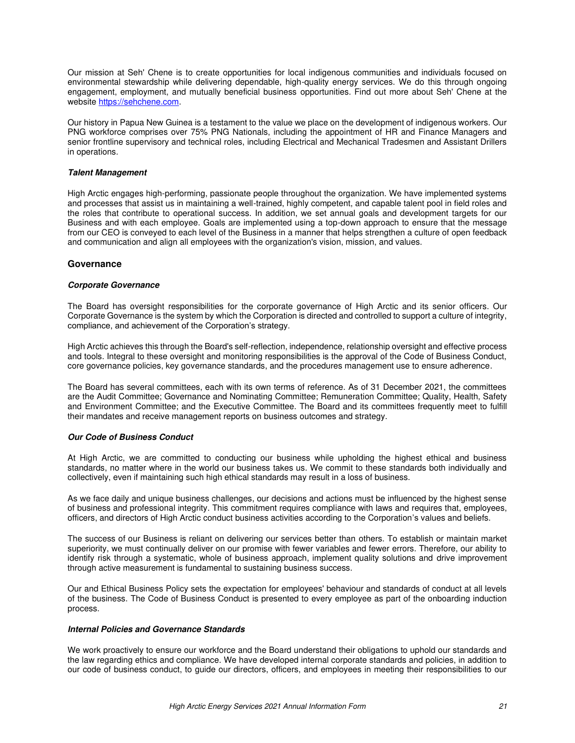Our mission at Seh' Chene is to create opportunities for local indigenous communities and individuals focused on environmental stewardship while delivering dependable, high-quality energy services. We do this through ongoing engagement, employment, and mutually beneficial business opportunities. Find out more about Seh' Chene at the website [https://sehchene.com.](https://sehchene.com/)

Our history in Papua New Guinea is a testament to the value we place on the development of indigenous workers. Our PNG workforce comprises over 75% PNG Nationals, including the appointment of HR and Finance Managers and senior frontline supervisory and technical roles, including Electrical and Mechanical Tradesmen and Assistant Drillers in operations.

#### *Talent Management*

High Arctic engages high-performing, passionate people throughout the organization. We have implemented systems and processes that assist us in maintaining a well-trained, highly competent, and capable talent pool in field roles and the roles that contribute to operational success. In addition, we set annual goals and development targets for our Business and with each employee. Goals are implemented using a top-down approach to ensure that the message from our CEO is conveyed to each level of the Business in a manner that helps strengthen a culture of open feedback and communication and align all employees with the organization's vision, mission, and values.

### **Governance**

#### *Corporate Governance*

The Board has oversight responsibilities for the corporate governance of High Arctic and its senior officers. Our Corporate Governance is the system by which the Corporation is directed and controlled to support a culture of integrity, compliance, and achievement of the Corporation's strategy.

High Arctic achieves this through the Board's self-reflection, independence, relationship oversight and effective process and tools. Integral to these oversight and monitoring responsibilities is the approval of the Code of Business Conduct, core governance policies, key governance standards, and the procedures management use to ensure adherence.

The Board has several committees, each with its own terms of reference. As of 31 December 2021, the committees are the Audit Committee; Governance and Nominating Committee; Remuneration Committee; Quality, Health, Safety and Environment Committee; and the Executive Committee. The Board and its committees frequently meet to fulfill their mandates and receive management reports on business outcomes and strategy.

#### *Our Code of Business Conduct*

At High Arctic, we are committed to conducting our business while upholding the highest ethical and business standards, no matter where in the world our business takes us. We commit to these standards both individually and collectively, even if maintaining such high ethical standards may result in a loss of business.

As we face daily and unique business challenges, our decisions and actions must be influenced by the highest sense of business and professional integrity. This commitment requires compliance with laws and requires that, employees, officers, and directors of High Arctic conduct business activities according to the Corporation's values and beliefs.

The success of our Business is reliant on delivering our services better than others. To establish or maintain market superiority, we must continually deliver on our promise with fewer variables and fewer errors. Therefore, our ability to identify risk through a systematic, whole of business approach, implement quality solutions and drive improvement through active measurement is fundamental to sustaining business success.

Our and Ethical Business Policy sets the expectation for employees' behaviour and standards of conduct at all levels of the business. The Code of Business Conduct is presented to every employee as part of the onboarding induction process.

### *Internal Policies and Governance Standards*

We work proactively to ensure our workforce and the Board understand their obligations to uphold our standards and the law regarding ethics and compliance. We have developed internal corporate standards and policies, in addition to our code of business conduct, to guide our directors, officers, and employees in meeting their responsibilities to our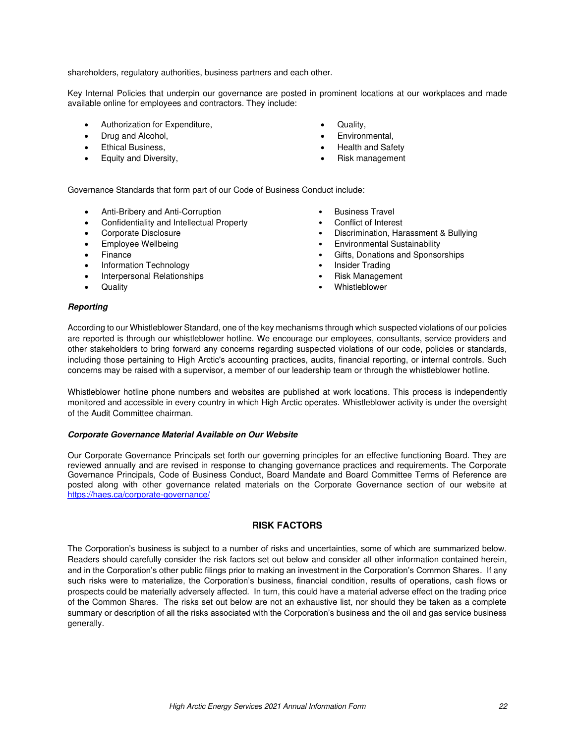shareholders, regulatory authorities, business partners and each other.

Key Internal Policies that underpin our governance are posted in prominent locations at our workplaces and made available online for employees and contractors. They include:

- Authorization for Expenditure,
- Drug and Alcohol,
- Ethical Business,
- Equity and Diversity,
- Quality,
- Environmental,
- Health and Safety
- Risk management

Governance Standards that form part of our Code of Business Conduct include:

- Anti-Bribery and Anti-Corruption **•** Business Travel
- Confidentiality and Intellectual Property Conflict of Interest
- 
- 
- 
- Information Technology  **Insider Trading**
- Interpersonal Relationships  **Risk Management**
- 
- 
- 
- Corporate Disclosure Corporate Disclosure Discrimination, Harassment & Bullying
	- Employee Wellbeing Environmental Sustainability
	- Finance Gifts, Donations and Sponsorships
		-
		-
- Quality Whistleblower

#### *Reporting*

According to our Whistleblower Standard, one of the key mechanisms through which suspected violations of our policies are reported is through our whistleblower hotline. We encourage our employees, consultants, service providers and other stakeholders to bring forward any concerns regarding suspected violations of our code, policies or standards, including those pertaining to High Arctic's accounting practices, audits, financial reporting, or internal controls. Such concerns may be raised with a supervisor, a member of our leadership team or through the whistleblower hotline.

Whistleblower hotline phone numbers and websites are published at work locations. This process is independently monitored and accessible in every country in which High Arctic operates. Whistleblower activity is under the oversight of the Audit Committee chairman.

#### *Corporate Governance Material Available on Our Website*

Our Corporate Governance Principals set forth our governing principles for an effective functioning Board. They are reviewed annually and are revised in response to changing governance practices and requirements. The Corporate Governance Principals, Code of Business Conduct, Board Mandate and Board Committee Terms of Reference are posted along with other governance related materials on the Corporate Governance section of our website at <https://haes.ca/corporate-governance/>

# **RISK FACTORS**

<span id="page-21-0"></span>The Corporation's business is subject to a number of risks and uncertainties, some of which are summarized below. Readers should carefully consider the risk factors set out below and consider all other information contained herein, and in the Corporation's other public filings prior to making an investment in the Corporation's Common Shares. If any such risks were to materialize, the Corporation's business, financial condition, results of operations, cash flows or prospects could be materially adversely affected. In turn, this could have a material adverse effect on the trading price of the Common Shares. The risks set out below are not an exhaustive list, nor should they be taken as a complete summary or description of all the risks associated with the Corporation's business and the oil and gas service business generally.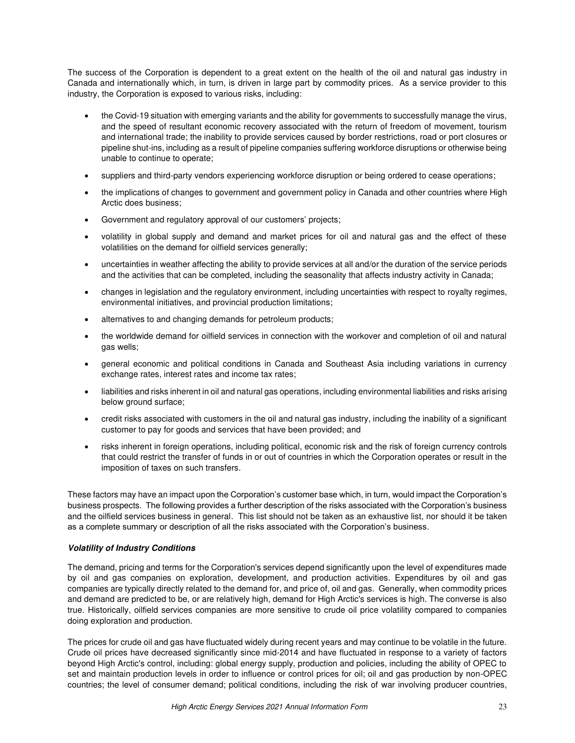The success of the Corporation is dependent to a great extent on the health of the oil and natural gas industry in Canada and internationally which, in turn, is driven in large part by commodity prices. As a service provider to this industry, the Corporation is exposed to various risks, including:

- the Covid-19 situation with emerging variants and the ability for governments to successfully manage the virus, and the speed of resultant economic recovery associated with the return of freedom of movement, tourism and international trade; the inability to provide services caused by border restrictions, road or port closures or pipeline shut-ins, including as a result of pipeline companies suffering workforce disruptions or otherwise being unable to continue to operate;
- suppliers and third-party vendors experiencing workforce disruption or being ordered to cease operations;
- the implications of changes to government and government policy in Canada and other countries where High Arctic does business;
- Government and regulatory approval of our customers' projects;
- volatility in global supply and demand and market prices for oil and natural gas and the effect of these volatilities on the demand for oilfield services generally;
- uncertainties in weather affecting the ability to provide services at all and/or the duration of the service periods and the activities that can be completed, including the seasonality that affects industry activity in Canada;
- changes in legislation and the regulatory environment, including uncertainties with respect to royalty regimes, environmental initiatives, and provincial production limitations;
- alternatives to and changing demands for petroleum products;
- the worldwide demand for oilfield services in connection with the workover and completion of oil and natural gas wells;
- general economic and political conditions in Canada and Southeast Asia including variations in currency exchange rates, interest rates and income tax rates;
- liabilities and risks inherent in oil and natural gas operations, including environmental liabilities and risks arising below ground surface;
- credit risks associated with customers in the oil and natural gas industry, including the inability of a significant customer to pay for goods and services that have been provided; and
- risks inherent in foreign operations, including political, economic risk and the risk of foreign currency controls that could restrict the transfer of funds in or out of countries in which the Corporation operates or result in the imposition of taxes on such transfers.

These factors may have an impact upon the Corporation's customer base which, in turn, would impact the Corporation's business prospects. The following provides a further description of the risks associated with the Corporation's business and the oilfield services business in general. This list should not be taken as an exhaustive list, nor should it be taken as a complete summary or description of all the risks associated with the Corporation's business.

### *Volatility of Industry Conditions*

The demand, pricing and terms for the Corporation's services depend significantly upon the level of expenditures made by oil and gas companies on exploration, development, and production activities. Expenditures by oil and gas companies are typically directly related to the demand for, and price of, oil and gas. Generally, when commodity prices and demand are predicted to be, or are relatively high, demand for High Arctic's services is high. The converse is also true. Historically, oilfield services companies are more sensitive to crude oil price volatility compared to companies doing exploration and production.

The prices for crude oil and gas have fluctuated widely during recent years and may continue to be volatile in the future. Crude oil prices have decreased significantly since mid-2014 and have fluctuated in response to a variety of factors beyond High Arctic's control, including: global energy supply, production and policies, including the ability of OPEC to set and maintain production levels in order to influence or control prices for oil; oil and gas production by non-OPEC countries; the level of consumer demand; political conditions, including the risk of war involving producer countries,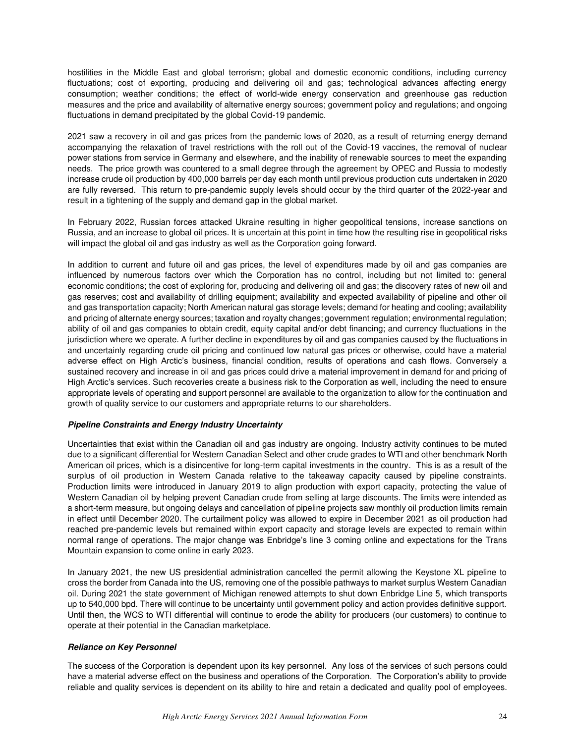hostilities in the Middle East and global terrorism; global and domestic economic conditions, including currency fluctuations; cost of exporting, producing and delivering oil and gas; technological advances affecting energy consumption; weather conditions; the effect of world-wide energy conservation and greenhouse gas reduction measures and the price and availability of alternative energy sources; government policy and regulations; and ongoing fluctuations in demand precipitated by the global Covid-19 pandemic.

2021 saw a recovery in oil and gas prices from the pandemic lows of 2020, as a result of returning energy demand accompanying the relaxation of travel restrictions with the roll out of the Covid-19 vaccines, the removal of nuclear power stations from service in Germany and elsewhere, and the inability of renewable sources to meet the expanding needs. The price growth was countered to a small degree through the agreement by OPEC and Russia to modestly increase crude oil production by 400,000 barrels per day each month until previous production cuts undertaken in 2020 are fully reversed. This return to pre-pandemic supply levels should occur by the third quarter of the 2022-year and result in a tightening of the supply and demand gap in the global market.

In February 2022, Russian forces attacked Ukraine resulting in higher geopolitical tensions, increase sanctions on Russia, and an increase to global oil prices. It is uncertain at this point in time how the resulting rise in geopolitical risks will impact the global oil and gas industry as well as the Corporation going forward.

In addition to current and future oil and gas prices, the level of expenditures made by oil and gas companies are influenced by numerous factors over which the Corporation has no control, including but not limited to: general economic conditions; the cost of exploring for, producing and delivering oil and gas; the discovery rates of new oil and gas reserves; cost and availability of drilling equipment; availability and expected availability of pipeline and other oil and gas transportation capacity; North American natural gas storage levels; demand for heating and cooling; availability and pricing of alternate energy sources; taxation and royalty changes; government regulation; environmental regulation; ability of oil and gas companies to obtain credit, equity capital and/or debt financing; and currency fluctuations in the jurisdiction where we operate. A further decline in expenditures by oil and gas companies caused by the fluctuations in and uncertainly regarding crude oil pricing and continued low natural gas prices or otherwise, could have a material adverse effect on High Arctic's business, financial condition, results of operations and cash flows. Conversely a sustained recovery and increase in oil and gas prices could drive a material improvement in demand for and pricing of High Arctic's services. Such recoveries create a business risk to the Corporation as well, including the need to ensure appropriate levels of operating and support personnel are available to the organization to allow for the continuation and growth of quality service to our customers and appropriate returns to our shareholders.

#### *Pipeline Constraints and Energy Industry Uncertainty*

Uncertainties that exist within the Canadian oil and gas industry are ongoing. Industry activity continues to be muted due to a significant differential for Western Canadian Select and other crude grades to WTI and other benchmark North American oil prices, which is a disincentive for long-term capital investments in the country. This is as a result of the surplus of oil production in Western Canada relative to the takeaway capacity caused by pipeline constraints. Production limits were introduced in January 2019 to align production with export capacity, protecting the value of Western Canadian oil by helping prevent Canadian crude from selling at large discounts. The limits were intended as a short-term measure, but ongoing delays and cancellation of pipeline projects saw monthly oil production limits remain in effect until December 2020. The curtailment policy was allowed to expire in December 2021 as oil production had reached pre-pandemic levels but remained within export capacity and storage levels are expected to remain within normal range of operations. The major change was Enbridge's line 3 coming online and expectations for the Trans Mountain expansion to come online in early 2023.

In January 2021, the new US presidential administration cancelled the permit allowing the Keystone XL pipeline to cross the border from Canada into the US, removing one of the possible pathways to market surplus Western Canadian oil. During 2021 the state government of Michigan renewed attempts to shut down Enbridge Line 5, which transports up to 540,000 bpd. There will continue to be uncertainty until government policy and action provides definitive support. Until then, the WCS to WTI differential will continue to erode the ability for producers (our customers) to continue to operate at their potential in the Canadian marketplace.

### *Reliance on Key Personnel*

The success of the Corporation is dependent upon its key personnel. Any loss of the services of such persons could have a material adverse effect on the business and operations of the Corporation. The Corporation's ability to provide reliable and quality services is dependent on its ability to hire and retain a dedicated and quality pool of employees.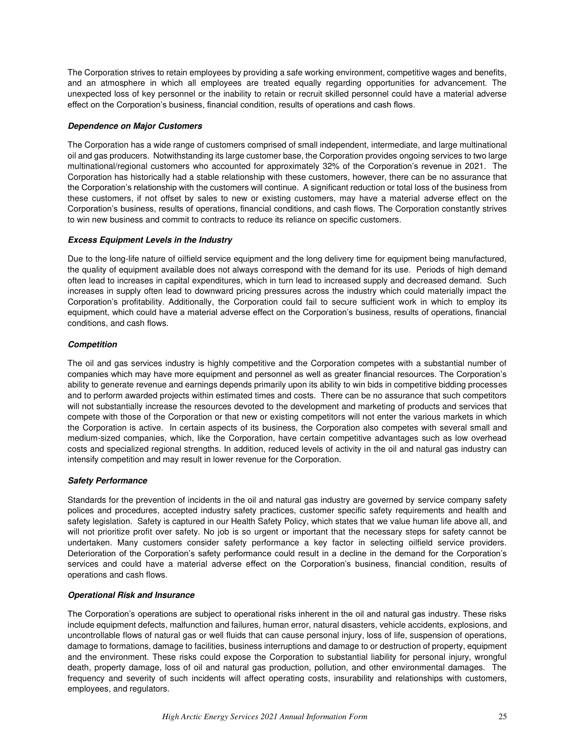The Corporation strives to retain employees by providing a safe working environment, competitive wages and benefits, and an atmosphere in which all employees are treated equally regarding opportunities for advancement. The unexpected loss of key personnel or the inability to retain or recruit skilled personnel could have a material adverse effect on the Corporation's business, financial condition, results of operations and cash flows.

#### *Dependence on Major Customers*

The Corporation has a wide range of customers comprised of small independent, intermediate, and large multinational oil and gas producers. Notwithstanding its large customer base, the Corporation provides ongoing services to two large multinational/regional customers who accounted for approximately 32% of the Corporation's revenue in 2021. The Corporation has historically had a stable relationship with these customers, however, there can be no assurance that the Corporation's relationship with the customers will continue. A significant reduction or total loss of the business from these customers, if not offset by sales to new or existing customers, may have a material adverse effect on the Corporation's business, results of operations, financial conditions, and cash flows. The Corporation constantly strives to win new business and commit to contracts to reduce its reliance on specific customers.

### *Excess Equipment Levels in the Industry*

Due to the long-life nature of oilfield service equipment and the long delivery time for equipment being manufactured, the quality of equipment available does not always correspond with the demand for its use. Periods of high demand often lead to increases in capital expenditures, which in turn lead to increased supply and decreased demand. Such increases in supply often lead to downward pricing pressures across the industry which could materially impact the Corporation's profitability. Additionally, the Corporation could fail to secure sufficient work in which to employ its equipment, which could have a material adverse effect on the Corporation's business, results of operations, financial conditions, and cash flows.

### *Competition*

The oil and gas services industry is highly competitive and the Corporation competes with a substantial number of companies which may have more equipment and personnel as well as greater financial resources. The Corporation's ability to generate revenue and earnings depends primarily upon its ability to win bids in competitive bidding processes and to perform awarded projects within estimated times and costs. There can be no assurance that such competitors will not substantially increase the resources devoted to the development and marketing of products and services that compete with those of the Corporation or that new or existing competitors will not enter the various markets in which the Corporation is active. In certain aspects of its business, the Corporation also competes with several small and medium-sized companies, which, like the Corporation, have certain competitive advantages such as low overhead costs and specialized regional strengths. In addition, reduced levels of activity in the oil and natural gas industry can intensify competition and may result in lower revenue for the Corporation.

#### *Safety Performance*

Standards for the prevention of incidents in the oil and natural gas industry are governed by service company safety polices and procedures, accepted industry safety practices, customer specific safety requirements and health and safety legislation. Safety is captured in our Health Safety Policy, which states that we value human life above all, and will not prioritize profit over safety. No job is so urgent or important that the necessary steps for safety cannot be undertaken. Many customers consider safety performance a key factor in selecting oilfield service providers. Deterioration of the Corporation's safety performance could result in a decline in the demand for the Corporation's services and could have a material adverse effect on the Corporation's business, financial condition, results of operations and cash flows.

#### *Operational Risk and Insurance*

The Corporation's operations are subject to operational risks inherent in the oil and natural gas industry. These risks include equipment defects, malfunction and failures, human error, natural disasters, vehicle accidents, explosions, and uncontrollable flows of natural gas or well fluids that can cause personal injury, loss of life, suspension of operations, damage to formations, damage to facilities, business interruptions and damage to or destruction of property, equipment and the environment. These risks could expose the Corporation to substantial liability for personal injury, wrongful death, property damage, loss of oil and natural gas production, pollution, and other environmental damages. The frequency and severity of such incidents will affect operating costs, insurability and relationships with customers, employees, and regulators.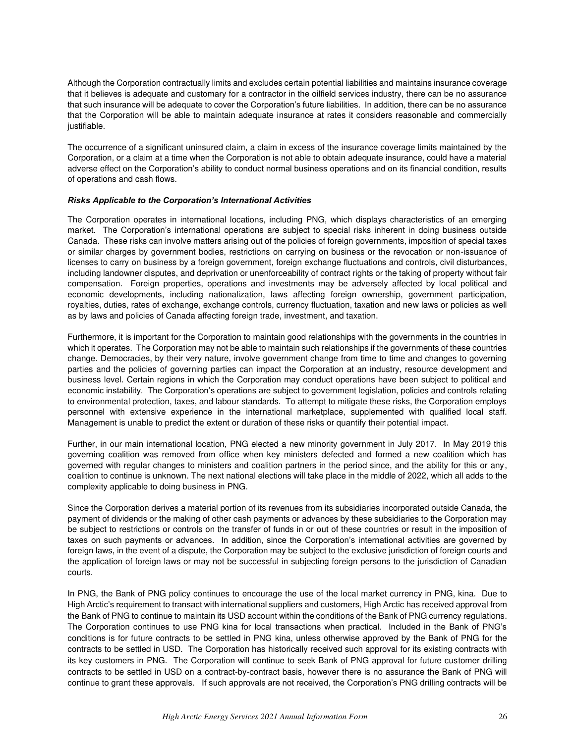Although the Corporation contractually limits and excludes certain potential liabilities and maintains insurance coverage that it believes is adequate and customary for a contractor in the oilfield services industry, there can be no assurance that such insurance will be adequate to cover the Corporation's future liabilities. In addition, there can be no assurance that the Corporation will be able to maintain adequate insurance at rates it considers reasonable and commercially justifiable.

The occurrence of a significant uninsured claim, a claim in excess of the insurance coverage limits maintained by the Corporation, or a claim at a time when the Corporation is not able to obtain adequate insurance, could have a material adverse effect on the Corporation's ability to conduct normal business operations and on its financial condition, results of operations and cash flows.

#### *Risks Applicable to the Corporation's International Activities*

The Corporation operates in international locations, including PNG, which displays characteristics of an emerging market. The Corporation's international operations are subject to special risks inherent in doing business outside Canada. These risks can involve matters arising out of the policies of foreign governments, imposition of special taxes or similar charges by government bodies, restrictions on carrying on business or the revocation or non-issuance of licenses to carry on business by a foreign government, foreign exchange fluctuations and controls, civil disturbances, including landowner disputes, and deprivation or unenforceability of contract rights or the taking of property without fair compensation. Foreign properties, operations and investments may be adversely affected by local political and economic developments, including nationalization, laws affecting foreign ownership, government participation, royalties, duties, rates of exchange, exchange controls, currency fluctuation, taxation and new laws or policies as well as by laws and policies of Canada affecting foreign trade, investment, and taxation.

Furthermore, it is important for the Corporation to maintain good relationships with the governments in the countries in which it operates. The Corporation may not be able to maintain such relationships if the governments of these countries change. Democracies, by their very nature, involve government change from time to time and changes to governing parties and the policies of governing parties can impact the Corporation at an industry, resource development and business level. Certain regions in which the Corporation may conduct operations have been subject to political and economic instability. The Corporation's operations are subject to government legislation, policies and controls relating to environmental protection, taxes, and labour standards. To attempt to mitigate these risks, the Corporation employs personnel with extensive experience in the international marketplace, supplemented with qualified local staff. Management is unable to predict the extent or duration of these risks or quantify their potential impact.

Further, in our main international location, PNG elected a new minority government in July 2017. In May 2019 this governing coalition was removed from office when key ministers defected and formed a new coalition which has governed with regular changes to ministers and coalition partners in the period since, and the ability for this or any, coalition to continue is unknown. The next national elections will take place in the middle of 2022, which all adds to the complexity applicable to doing business in PNG.

Since the Corporation derives a material portion of its revenues from its subsidiaries incorporated outside Canada, the payment of dividends or the making of other cash payments or advances by these subsidiaries to the Corporation may be subject to restrictions or controls on the transfer of funds in or out of these countries or result in the imposition of taxes on such payments or advances. In addition, since the Corporation's international activities are governed by foreign laws, in the event of a dispute, the Corporation may be subject to the exclusive jurisdiction of foreign courts and the application of foreign laws or may not be successful in subjecting foreign persons to the jurisdiction of Canadian courts.

In PNG, the Bank of PNG policy continues to encourage the use of the local market currency in PNG, kina. Due to High Arctic's requirement to transact with international suppliers and customers, High Arctic has received approval from the Bank of PNG to continue to maintain its USD account within the conditions of the Bank of PNG currency regulations. The Corporation continues to use PNG kina for local transactions when practical. Included in the Bank of PNG's conditions is for future contracts to be settled in PNG kina, unless otherwise approved by the Bank of PNG for the contracts to be settled in USD. The Corporation has historically received such approval for its existing contracts with its key customers in PNG. The Corporation will continue to seek Bank of PNG approval for future customer drilling contracts to be settled in USD on a contract-by-contract basis, however there is no assurance the Bank of PNG will continue to grant these approvals. If such approvals are not received, the Corporation's PNG drilling contracts will be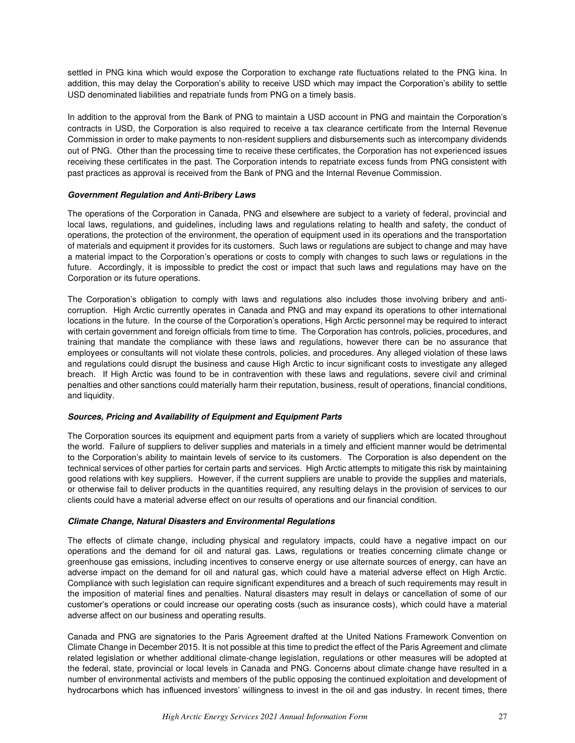settled in PNG kina which would expose the Corporation to exchange rate fluctuations related to the PNG kina. In addition, this may delay the Corporation's ability to receive USD which may impact the Corporation's ability to settle USD denominated liabilities and repatriate funds from PNG on a timely basis.

In addition to the approval from the Bank of PNG to maintain a USD account in PNG and maintain the Corporation's contracts in USD, the Corporation is also required to receive a tax clearance certificate from the Internal Revenue Commission in order to make payments to non-resident suppliers and disbursements such as intercompany dividends out of PNG. Other than the processing time to receive these certificates, the Corporation has not experienced issues receiving these certificates in the past. The Corporation intends to repatriate excess funds from PNG consistent with past practices as approval is received from the Bank of PNG and the Internal Revenue Commission.

### *Government Regulation and Anti-Bribery Laws*

The operations of the Corporation in Canada, PNG and elsewhere are subject to a variety of federal, provincial and local laws, regulations, and guidelines, including laws and regulations relating to health and safety, the conduct of operations, the protection of the environment, the operation of equipment used in its operations and the transportation of materials and equipment it provides for its customers. Such laws or regulations are subject to change and may have a material impact to the Corporation's operations or costs to comply with changes to such laws or regulations in the future. Accordingly, it is impossible to predict the cost or impact that such laws and regulations may have on the Corporation or its future operations.

The Corporation's obligation to comply with laws and regulations also includes those involving bribery and anticorruption. High Arctic currently operates in Canada and PNG and may expand its operations to other international locations in the future. In the course of the Corporation's operations, High Arctic personnel may be required to interact with certain government and foreign officials from time to time. The Corporation has controls, policies, procedures, and training that mandate the compliance with these laws and regulations, however there can be no assurance that employees or consultants will not violate these controls, policies, and procedures. Any alleged violation of these laws and regulations could disrupt the business and cause High Arctic to incur significant costs to investigate any alleged breach. If High Arctic was found to be in contravention with these laws and regulations, severe civil and criminal penalties and other sanctions could materially harm their reputation, business, result of operations, financial conditions, and liquidity.

#### *Sources, Pricing and Availability of Equipment and Equipment Parts*

The Corporation sources its equipment and equipment parts from a variety of suppliers which are located throughout the world. Failure of suppliers to deliver supplies and materials in a timely and efficient manner would be detrimental to the Corporation's ability to maintain levels of service to its customers. The Corporation is also dependent on the technical services of other parties for certain parts and services. High Arctic attempts to mitigate this risk by maintaining good relations with key suppliers. However, if the current suppliers are unable to provide the supplies and materials, or otherwise fail to deliver products in the quantities required, any resulting delays in the provision of services to our clients could have a material adverse effect on our results of operations and our financial condition.

### *Climate Change, Natural Disasters and Environmental Regulations*

The effects of climate change, including physical and regulatory impacts, could have a negative impact on our operations and the demand for oil and natural gas. Laws, regulations or treaties concerning climate change or greenhouse gas emissions, including incentives to conserve energy or use alternate sources of energy, can have an adverse impact on the demand for oil and natural gas, which could have a material adverse effect on High Arctic. Compliance with such legislation can require significant expenditures and a breach of such requirements may result in the imposition of material fines and penalties. Natural disasters may result in delays or cancellation of some of our customer's operations or could increase our operating costs (such as insurance costs), which could have a material adverse affect on our business and operating results.

Canada and PNG are signatories to the Paris Agreement drafted at the United Nations Framework Convention on Climate Change in December 2015. It is not possible at this time to predict the effect of the Paris Agreement and climate related legislation or whether additional climate-change legislation, regulations or other measures will be adopted at the federal, state, provincial or local levels in Canada and PNG. Concerns about climate change have resulted in a number of environmental activists and members of the public opposing the continued exploitation and development of hydrocarbons which has influenced investors' willingness to invest in the oil and gas industry. In recent times, there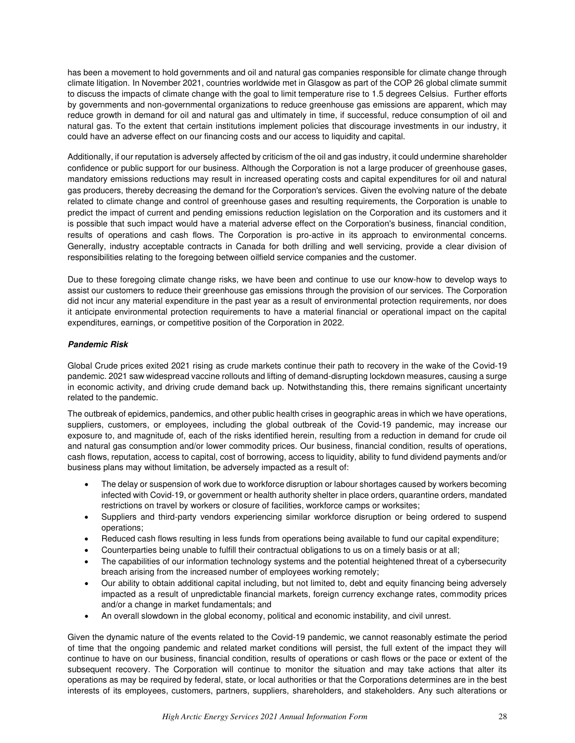has been a movement to hold governments and oil and natural gas companies responsible for climate change through climate litigation. In November 2021, countries worldwide met in Glasgow as part of the COP 26 global climate summit to discuss the impacts of climate change with the goal to limit temperature rise to 1.5 degrees Celsius. Further efforts by governments and non-governmental organizations to reduce greenhouse gas emissions are apparent, which may reduce growth in demand for oil and natural gas and ultimately in time, if successful, reduce consumption of oil and natural gas. To the extent that certain institutions implement policies that discourage investments in our industry, it could have an adverse effect on our financing costs and our access to liquidity and capital.

Additionally, if our reputation is adversely affected by criticism of the oil and gas industry, it could undermine shareholder confidence or public support for our business. Although the Corporation is not a large producer of greenhouse gases, mandatory emissions reductions may result in increased operating costs and capital expenditures for oil and natural gas producers, thereby decreasing the demand for the Corporation's services. Given the evolving nature of the debate related to climate change and control of greenhouse gases and resulting requirements, the Corporation is unable to predict the impact of current and pending emissions reduction legislation on the Corporation and its customers and it is possible that such impact would have a material adverse effect on the Corporation's business, financial condition, results of operations and cash flows. The Corporation is pro-active in its approach to environmental concerns. Generally, industry acceptable contracts in Canada for both drilling and well servicing, provide a clear division of responsibilities relating to the foregoing between oilfield service companies and the customer.

Due to these foregoing climate change risks, we have been and continue to use our know-how to develop ways to assist our customers to reduce their greenhouse gas emissions through the provision of our services. The Corporation did not incur any material expenditure in the past year as a result of environmental protection requirements, nor does it anticipate environmental protection requirements to have a material financial or operational impact on the capital expenditures, earnings, or competitive position of the Corporation in 2022.

### *Pandemic Risk*

Global Crude prices exited 2021 rising as crude markets continue their path to recovery in the wake of the Covid-19 pandemic. 2021 saw widespread vaccine rollouts and lifting of demand-disrupting lockdown measures, causing a surge in economic activity, and driving crude demand back up. Notwithstanding this, there remains significant uncertainty related to the pandemic.

The outbreak of epidemics, pandemics, and other public health crises in geographic areas in which we have operations, suppliers, customers, or employees, including the global outbreak of the Covid-19 pandemic, may increase our exposure to, and magnitude of, each of the risks identified herein, resulting from a reduction in demand for crude oil and natural gas consumption and/or lower commodity prices. Our business, financial condition, results of operations, cash flows, reputation, access to capital, cost of borrowing, access to liquidity, ability to fund dividend payments and/or business plans may without limitation, be adversely impacted as a result of:

- The delay or suspension of work due to workforce disruption or labour shortages caused by workers becoming infected with Covid-19, or government or health authority shelter in place orders, quarantine orders, mandated restrictions on travel by workers or closure of facilities, workforce camps or worksites;
- Suppliers and third-party vendors experiencing similar workforce disruption or being ordered to suspend operations;
- Reduced cash flows resulting in less funds from operations being available to fund our capital expenditure;
- Counterparties being unable to fulfill their contractual obligations to us on a timely basis or at all;
- The capabilities of our information technology systems and the potential heightened threat of a cybersecurity breach arising from the increased number of employees working remotely;
- Our ability to obtain additional capital including, but not limited to, debt and equity financing being adversely impacted as a result of unpredictable financial markets, foreign currency exchange rates, commodity prices and/or a change in market fundamentals; and
- An overall slowdown in the global economy, political and economic instability, and civil unrest.

Given the dynamic nature of the events related to the Covid-19 pandemic, we cannot reasonably estimate the period of time that the ongoing pandemic and related market conditions will persist, the full extent of the impact they will continue to have on our business, financial condition, results of operations or cash flows or the pace or extent of the subsequent recovery. The Corporation will continue to monitor the situation and may take actions that alter its operations as may be required by federal, state, or local authorities or that the Corporations determines are in the best interests of its employees, customers, partners, suppliers, shareholders, and stakeholders. Any such alterations or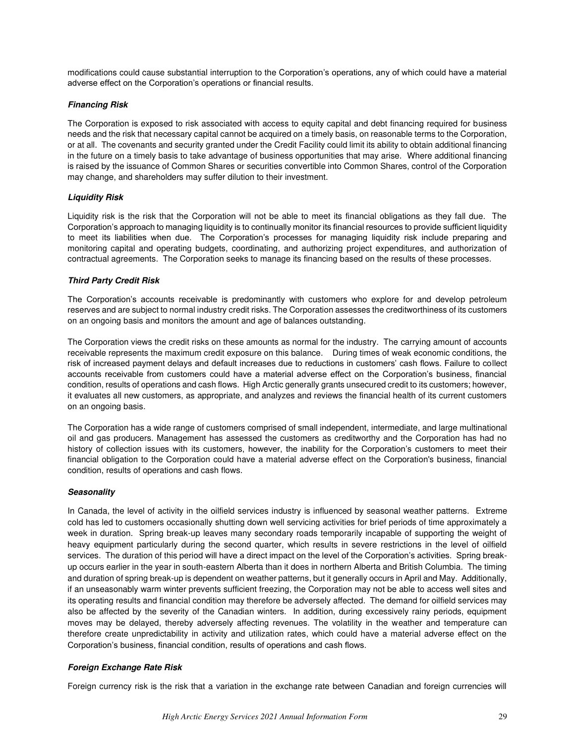modifications could cause substantial interruption to the Corporation's operations, any of which could have a material adverse effect on the Corporation's operations or financial results.

### *Financing Risk*

The Corporation is exposed to risk associated with access to equity capital and debt financing required for business needs and the risk that necessary capital cannot be acquired on a timely basis, on reasonable terms to the Corporation, or at all. The covenants and security granted under the Credit Facility could limit its ability to obtain additional financing in the future on a timely basis to take advantage of business opportunities that may arise. Where additional financing is raised by the issuance of Common Shares or securities convertible into Common Shares, control of the Corporation may change, and shareholders may suffer dilution to their investment.

### *Liquidity Risk*

Liquidity risk is the risk that the Corporation will not be able to meet its financial obligations as they fall due. The Corporation's approach to managing liquidity is to continually monitor its financial resources to provide sufficient liquidity to meet its liabilities when due. The Corporation's processes for managing liquidity risk include preparing and monitoring capital and operating budgets, coordinating, and authorizing project expenditures, and authorization of contractual agreements. The Corporation seeks to manage its financing based on the results of these processes.

### *Third Party Credit Risk*

The Corporation's accounts receivable is predominantly with customers who explore for and develop petroleum reserves and are subject to normal industry credit risks. The Corporation assesses the creditworthiness of its customers on an ongoing basis and monitors the amount and age of balances outstanding.

The Corporation views the credit risks on these amounts as normal for the industry. The carrying amount of accounts receivable represents the maximum credit exposure on this balance. During times of weak economic conditions, the risk of increased payment delays and default increases due to reductions in customers' cash flows. Failure to collect accounts receivable from customers could have a material adverse effect on the Corporation's business, financial condition, results of operations and cash flows. High Arctic generally grants unsecured credit to its customers; however, it evaluates all new customers, as appropriate, and analyzes and reviews the financial health of its current customers on an ongoing basis.

The Corporation has a wide range of customers comprised of small independent, intermediate, and large multinational oil and gas producers. Management has assessed the customers as creditworthy and the Corporation has had no history of collection issues with its customers, however, the inability for the Corporation's customers to meet their financial obligation to the Corporation could have a material adverse effect on the Corporation's business, financial condition, results of operations and cash flows.

#### *Seasonality*

In Canada, the level of activity in the oilfield services industry is influenced by seasonal weather patterns. Extreme cold has led to customers occasionally shutting down well servicing activities for brief periods of time approximately a week in duration. Spring break-up leaves many secondary roads temporarily incapable of supporting the weight of heavy equipment particularly during the second quarter, which results in severe restrictions in the level of oilfield services. The duration of this period will have a direct impact on the level of the Corporation's activities. Spring breakup occurs earlier in the year in south-eastern Alberta than it does in northern Alberta and British Columbia. The timing and duration of spring break-up is dependent on weather patterns, but it generally occurs in April and May. Additionally, if an unseasonably warm winter prevents sufficient freezing, the Corporation may not be able to access well sites and its operating results and financial condition may therefore be adversely affected. The demand for oilfield services may also be affected by the severity of the Canadian winters. In addition, during excessively rainy periods, equipment moves may be delayed, thereby adversely affecting revenues. The volatility in the weather and temperature can therefore create unpredictability in activity and utilization rates, which could have a material adverse effect on the Corporation's business, financial condition, results of operations and cash flows.

### *Foreign Exchange Rate Risk*

Foreign currency risk is the risk that a variation in the exchange rate between Canadian and foreign currencies will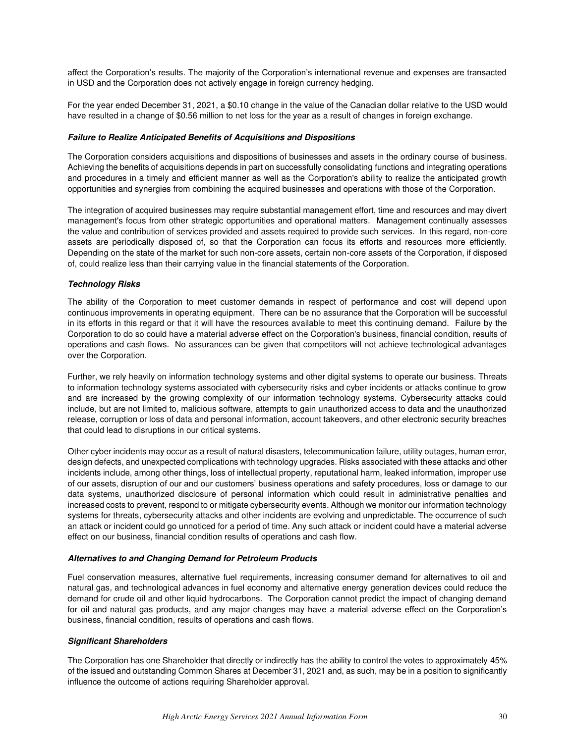affect the Corporation's results. The majority of the Corporation's international revenue and expenses are transacted in USD and the Corporation does not actively engage in foreign currency hedging.

For the year ended December 31, 2021, a \$0.10 change in the value of the Canadian dollar relative to the USD would have resulted in a change of \$0.56 million to net loss for the year as a result of changes in foreign exchange.

#### *Failure to Realize Anticipated Benefits of Acquisitions and Dispositions*

The Corporation considers acquisitions and dispositions of businesses and assets in the ordinary course of business. Achieving the benefits of acquisitions depends in part on successfully consolidating functions and integrating operations and procedures in a timely and efficient manner as well as the Corporation's ability to realize the anticipated growth opportunities and synergies from combining the acquired businesses and operations with those of the Corporation.

The integration of acquired businesses may require substantial management effort, time and resources and may divert management's focus from other strategic opportunities and operational matters. Management continually assesses the value and contribution of services provided and assets required to provide such services. In this regard, non-core assets are periodically disposed of, so that the Corporation can focus its efforts and resources more efficiently. Depending on the state of the market for such non-core assets, certain non-core assets of the Corporation, if disposed of, could realize less than their carrying value in the financial statements of the Corporation.

#### *Technology Risks*

The ability of the Corporation to meet customer demands in respect of performance and cost will depend upon continuous improvements in operating equipment. There can be no assurance that the Corporation will be successful in its efforts in this regard or that it will have the resources available to meet this continuing demand. Failure by the Corporation to do so could have a material adverse effect on the Corporation's business, financial condition, results of operations and cash flows. No assurances can be given that competitors will not achieve technological advantages over the Corporation.

Further, we rely heavily on information technology systems and other digital systems to operate our business. Threats to information technology systems associated with cybersecurity risks and cyber incidents or attacks continue to grow and are increased by the growing complexity of our information technology systems. Cybersecurity attacks could include, but are not limited to, malicious software, attempts to gain unauthorized access to data and the unauthorized release, corruption or loss of data and personal information, account takeovers, and other electronic security breaches that could lead to disruptions in our critical systems.

Other cyber incidents may occur as a result of natural disasters, telecommunication failure, utility outages, human error, design defects, and unexpected complications with technology upgrades. Risks associated with these attacks and other incidents include, among other things, loss of intellectual property, reputational harm, leaked information, improper use of our assets, disruption of our and our customers' business operations and safety procedures, loss or damage to our data systems, unauthorized disclosure of personal information which could result in administrative penalties and increased costs to prevent, respond to or mitigate cybersecurity events. Although we monitor our information technology systems for threats, cybersecurity attacks and other incidents are evolving and unpredictable. The occurrence of such an attack or incident could go unnoticed for a period of time. Any such attack or incident could have a material adverse effect on our business, financial condition results of operations and cash flow.

#### *Alternatives to and Changing Demand for Petroleum Products*

Fuel conservation measures, alternative fuel requirements, increasing consumer demand for alternatives to oil and natural gas, and technological advances in fuel economy and alternative energy generation devices could reduce the demand for crude oil and other liquid hydrocarbons. The Corporation cannot predict the impact of changing demand for oil and natural gas products, and any major changes may have a material adverse effect on the Corporation's business, financial condition, results of operations and cash flows.

#### *Significant Shareholders*

The Corporation has one Shareholder that directly or indirectly has the ability to control the votes to approximately 45% of the issued and outstanding Common Shares at December 31, 2021 and, as such, may be in a position to significantly influence the outcome of actions requiring Shareholder approval.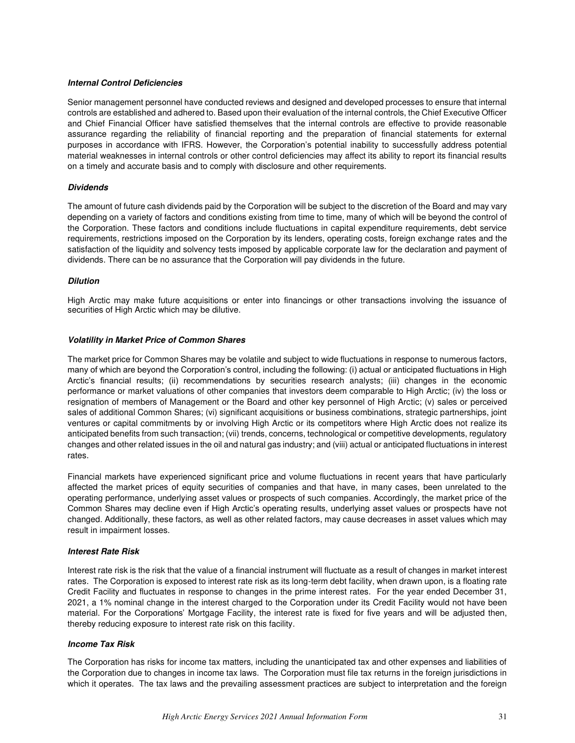#### *Internal Control Deficiencies*

Senior management personnel have conducted reviews and designed and developed processes to ensure that internal controls are established and adhered to. Based upon their evaluation of the internal controls, the Chief Executive Officer and Chief Financial Officer have satisfied themselves that the internal controls are effective to provide reasonable assurance regarding the reliability of financial reporting and the preparation of financial statements for external purposes in accordance with IFRS. However, the Corporation's potential inability to successfully address potential material weaknesses in internal controls or other control deficiencies may affect its ability to report its financial results on a timely and accurate basis and to comply with disclosure and other requirements.

#### *Dividends*

The amount of future cash dividends paid by the Corporation will be subject to the discretion of the Board and may vary depending on a variety of factors and conditions existing from time to time, many of which will be beyond the control of the Corporation. These factors and conditions include fluctuations in capital expenditure requirements, debt service requirements, restrictions imposed on the Corporation by its lenders, operating costs, foreign exchange rates and the satisfaction of the liquidity and solvency tests imposed by applicable corporate law for the declaration and payment of dividends. There can be no assurance that the Corporation will pay dividends in the future.

#### *Dilution*

High Arctic may make future acquisitions or enter into financings or other transactions involving the issuance of securities of High Arctic which may be dilutive.

### *Volatility in Market Price of Common Shares*

The market price for Common Shares may be volatile and subject to wide fluctuations in response to numerous factors, many of which are beyond the Corporation's control, including the following: (i) actual or anticipated fluctuations in High Arctic's financial results; (ii) recommendations by securities research analysts; (iii) changes in the economic performance or market valuations of other companies that investors deem comparable to High Arctic; (iv) the loss or resignation of members of Management or the Board and other key personnel of High Arctic; (v) sales or perceived sales of additional Common Shares; (vi) significant acquisitions or business combinations, strategic partnerships, joint ventures or capital commitments by or involving High Arctic or its competitors where High Arctic does not realize its anticipated benefits from such transaction; (vii) trends, concerns, technological or competitive developments, regulatory changes and other related issues in the oil and natural gas industry; and (viii) actual or anticipated fluctuations in interest rates.

Financial markets have experienced significant price and volume fluctuations in recent years that have particularly affected the market prices of equity securities of companies and that have, in many cases, been unrelated to the operating performance, underlying asset values or prospects of such companies. Accordingly, the market price of the Common Shares may decline even if High Arctic's operating results, underlying asset values or prospects have not changed. Additionally, these factors, as well as other related factors, may cause decreases in asset values which may result in impairment losses.

#### *Interest Rate Risk*

Interest rate risk is the risk that the value of a financial instrument will fluctuate as a result of changes in market interest rates. The Corporation is exposed to interest rate risk as its long-term debt facility, when drawn upon, is a floating rate Credit Facility and fluctuates in response to changes in the prime interest rates. For the year ended December 31, 2021, a 1% nominal change in the interest charged to the Corporation under its Credit Facility would not have been material. For the Corporations' Mortgage Facility, the interest rate is fixed for five years and will be adjusted then, thereby reducing exposure to interest rate risk on this facility.

#### *Income Tax Risk*

The Corporation has risks for income tax matters, including the unanticipated tax and other expenses and liabilities of the Corporation due to changes in income tax laws. The Corporation must file tax returns in the foreign jurisdictions in which it operates. The tax laws and the prevailing assessment practices are subject to interpretation and the foreign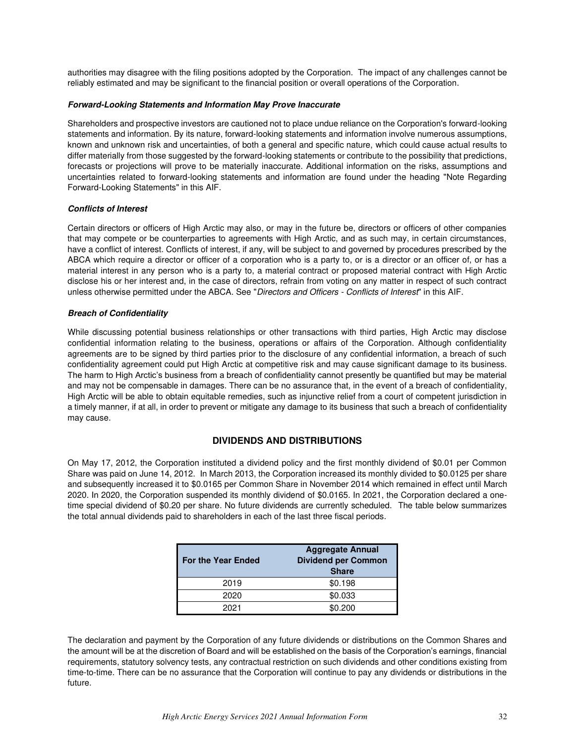authorities may disagree with the filing positions adopted by the Corporation. The impact of any challenges cannot be reliably estimated and may be significant to the financial position or overall operations of the Corporation.

#### *Forward-Looking Statements and Information May Prove Inaccurate*

Shareholders and prospective investors are cautioned not to place undue reliance on the Corporation's forward-looking statements and information. By its nature, forward-looking statements and information involve numerous assumptions, known and unknown risk and uncertainties, of both a general and specific nature, which could cause actual results to differ materially from those suggested by the forward-looking statements or contribute to the possibility that predictions, forecasts or projections will prove to be materially inaccurate. Additional information on the risks, assumptions and uncertainties related to forward-looking statements and information are found under the heading "Note Regarding Forward-Looking Statements" in this AIF.

#### *Conflicts of Interest*

Certain directors or officers of High Arctic may also, or may in the future be, directors or officers of other companies that may compete or be counterparties to agreements with High Arctic, and as such may, in certain circumstances, have a conflict of interest. Conflicts of interest, if any, will be subject to and governed by procedures prescribed by the ABCA which require a director or officer of a corporation who is a party to, or is a director or an officer of, or has a material interest in any person who is a party to, a material contract or proposed material contract with High Arctic disclose his or her interest and, in the case of directors, refrain from voting on any matter in respect of such contract unless otherwise permitted under the ABCA. See "Directors and Officers - Conflicts of Interest" in this AIF.

#### *Breach of Confidentiality*

While discussing potential business relationships or other transactions with third parties, High Arctic may disclose confidential information relating to the business, operations or affairs of the Corporation. Although confidentiality agreements are to be signed by third parties prior to the disclosure of any confidential information, a breach of such confidentiality agreement could put High Arctic at competitive risk and may cause significant damage to its business. The harm to High Arctic's business from a breach of confidentiality cannot presently be quantified but may be material and may not be compensable in damages. There can be no assurance that, in the event of a breach of confidentiality, High Arctic will be able to obtain equitable remedies, such as injunctive relief from a court of competent jurisdiction in a timely manner, if at all, in order to prevent or mitigate any damage to its business that such a breach of confidentiality may cause.

### **DIVIDENDS AND DISTRIBUTIONS**

<span id="page-31-0"></span>On May 17, 2012, the Corporation instituted a dividend policy and the first monthly dividend of \$0.01 per Common Share was paid on June 14, 2012. In March 2013, the Corporation increased its monthly divided to \$0.0125 per share and subsequently increased it to \$0.0165 per Common Share in November 2014 which remained in effect until March 2020. In 2020, the Corporation suspended its monthly dividend of \$0.0165. In 2021, the Corporation declared a onetime special dividend of \$0.20 per share. No future dividends are currently scheduled. The table below summarizes the total annual dividends paid to shareholders in each of the last three fiscal periods.

| <b>For the Year Ended</b> | <b>Aggregate Annual</b><br><b>Dividend per Common</b><br><b>Share</b> |
|---------------------------|-----------------------------------------------------------------------|
| 2019                      | \$0.198                                                               |
| 2020                      | \$0.033                                                               |
| 2021                      | \$0,200                                                               |

The declaration and payment by the Corporation of any future dividends or distributions on the Common Shares and the amount will be at the discretion of Board and will be established on the basis of the Corporation's earnings, financial requirements, statutory solvency tests, any contractual restriction on such dividends and other conditions existing from time-to-time. There can be no assurance that the Corporation will continue to pay any dividends or distributions in the future.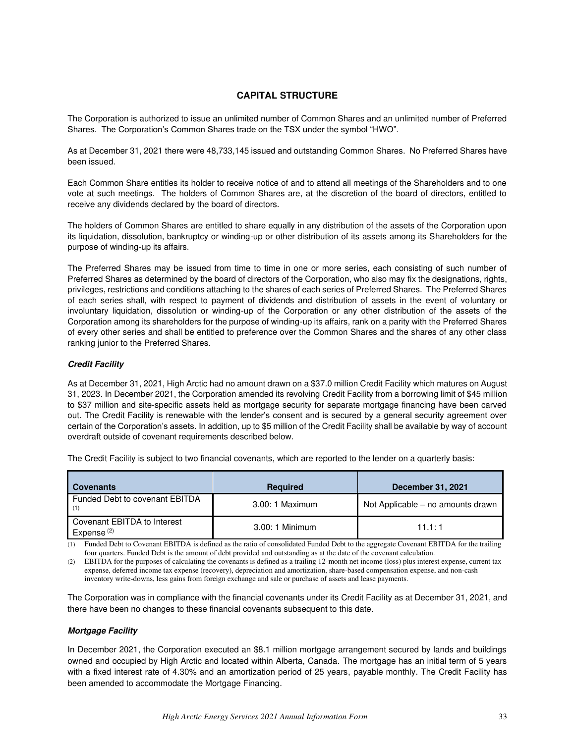# **CAPITAL STRUCTURE**

<span id="page-32-0"></span>The Corporation is authorized to issue an unlimited number of Common Shares and an unlimited number of Preferred Shares. The Corporation's Common Shares trade on the TSX under the symbol "HWO".

As at December 31, 2021 there were 48,733,145 issued and outstanding Common Shares. No Preferred Shares have been issued.

Each Common Share entitles its holder to receive notice of and to attend all meetings of the Shareholders and to one vote at such meetings. The holders of Common Shares are, at the discretion of the board of directors, entitled to receive any dividends declared by the board of directors.

The holders of Common Shares are entitled to share equally in any distribution of the assets of the Corporation upon its liquidation, dissolution, bankruptcy or winding-up or other distribution of its assets among its Shareholders for the purpose of winding-up its affairs.

The Preferred Shares may be issued from time to time in one or more series, each consisting of such number of Preferred Shares as determined by the board of directors of the Corporation, who also may fix the designations, rights, privileges, restrictions and conditions attaching to the shares of each series of Preferred Shares. The Preferred Shares of each series shall, with respect to payment of dividends and distribution of assets in the event of voluntary or involuntary liquidation, dissolution or winding-up of the Corporation or any other distribution of the assets of the Corporation among its shareholders for the purpose of winding-up its affairs, rank on a parity with the Preferred Shares of every other series and shall be entitled to preference over the Common Shares and the shares of any other class ranking junior to the Preferred Shares.

### *Credit Facility*

As at December 31, 2021, High Arctic had no amount drawn on a \$37.0 million Credit Facility which matures on August 31, 2023. In December 2021, the Corporation amended its revolving Credit Facility from a borrowing limit of \$45 million to \$37 million and site-specific assets held as mortgage security for separate mortgage financing have been carved out. The Credit Facility is renewable with the lender's consent and is secured by a general security agreement over certain of the Corporation's assets. In addition, up to \$5 million of the Credit Facility shall be available by way of account overdraft outside of covenant requirements described below.

The Credit Facility is subject to two financial covenants, which are reported to the lender on a quarterly basis:

| <b>Covenants</b>                                      | <b>Required</b>  | <b>December 31, 2021</b>          |
|-------------------------------------------------------|------------------|-----------------------------------|
| Funded Debt to covenant EBITDA<br>(1)                 | 3.00: 1 Maximum  | Not Applicable – no amounts drawn |
| Covenant EBITDA to Interest<br>Expense <sup>(2)</sup> | $3.00:1$ Minimum | 11.1:1                            |

(1) Funded Debt to Covenant EBITDA is defined as the ratio of consolidated Funded Debt to the aggregate Covenant EBITDA for the trailing four quarters. Funded Debt is the amount of debt provided and outstanding as at the date of the covenant calculation.

(2) EBITDA for the purposes of calculating the covenants is defined as a trailing 12-month net income (loss) plus interest expense, current tax expense, deferred income tax expense (recovery), depreciation and amortization, share-based compensation expense, and non-cash inventory write-downs, less gains from foreign exchange and sale or purchase of assets and lease payments.

The Corporation was in compliance with the financial covenants under its Credit Facility as at December 31, 2021, and there have been no changes to these financial covenants subsequent to this date.

#### *Mortgage Facility*

In December 2021, the Corporation executed an \$8.1 million mortgage arrangement secured by lands and buildings owned and occupied by High Arctic and located within Alberta, Canada. The mortgage has an initial term of 5 years with a fixed interest rate of 4.30% and an amortization period of 25 years, payable monthly. The Credit Facility has been amended to accommodate the Mortgage Financing.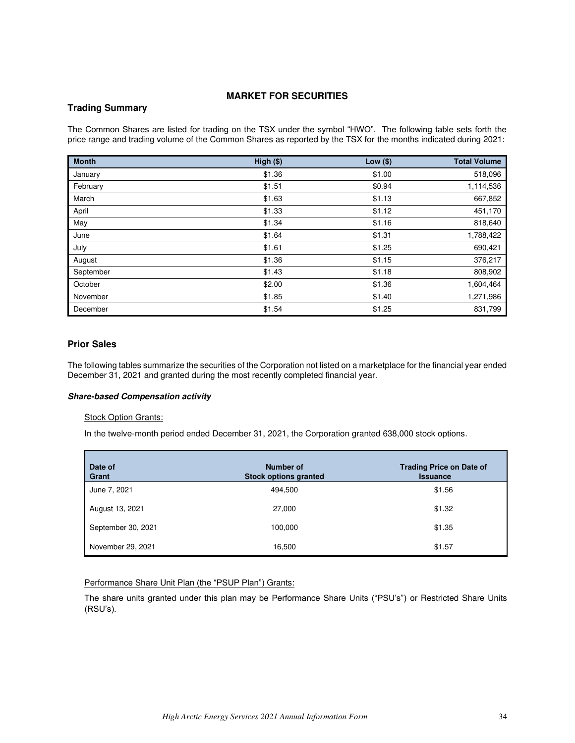# **MARKET FOR SECURITIES**

## <span id="page-33-0"></span>**Trading Summary**

The Common Shares are listed for trading on the TSX under the symbol "HWO". The following table sets forth the price range and trading volume of the Common Shares as reported by the TSX for the months indicated during 2021:

| <b>Month</b> | High (\$) | Low $(\$)$ | <b>Total Volume</b> |
|--------------|-----------|------------|---------------------|
| January      | \$1.36    | \$1.00     | 518,096             |
| February     | \$1.51    | \$0.94     | 1,114,536           |
| March        | \$1.63    | \$1.13     | 667,852             |
| April        | \$1.33    | \$1.12     | 451,170             |
| May          | \$1.34    | \$1.16     | 818,640             |
| June         | \$1.64    | \$1.31     | 1,788,422           |
| July         | \$1.61    | \$1.25     | 690,421             |
| August       | \$1.36    | \$1.15     | 376,217             |
| September    | \$1.43    | \$1.18     | 808,902             |
| October      | \$2.00    | \$1.36     | 1,604,464           |
| November     | \$1.85    | \$1.40     | 1,271,986           |
| December     | \$1.54    | \$1.25     | 831,799             |

# **Prior Sales**

The following tables summarize the securities of the Corporation not listed on a marketplace for the financial year ended December 31, 2021 and granted during the most recently completed financial year.

#### *Share-based Compensation activity*

#### **Stock Option Grants:**

In the twelve-month period ended December 31, 2021, the Corporation granted 638,000 stock options.

| Date of<br>Grant   | <b>Number of</b><br><b>Stock options granted</b> | <b>Trading Price on Date of</b><br><b>Issuance</b> |
|--------------------|--------------------------------------------------|----------------------------------------------------|
| June 7, 2021       | 494,500                                          | \$1.56                                             |
| August 13, 2021    | 27,000                                           | \$1.32                                             |
| September 30, 2021 | 100,000                                          | \$1.35                                             |
| November 29, 2021  | 16,500                                           | \$1.57                                             |

# Performance Share Unit Plan (the "PSUP Plan") Grants:

The share units granted under this plan may be Performance Share Units ("PSU's") or Restricted Share Units (RSU's).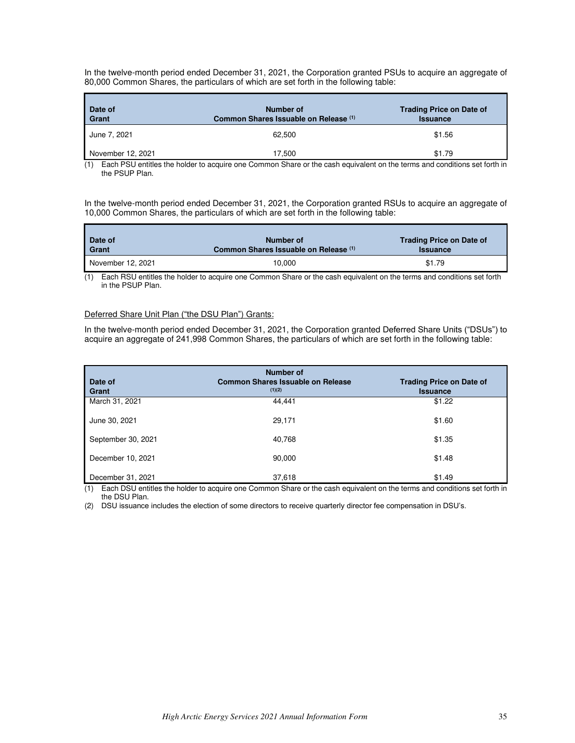In the twelve-month period ended December 31, 2021, the Corporation granted PSUs to acquire an aggregate of 80,000 Common Shares, the particulars of which are set forth in the following table:

| Date of<br>Grant  | Number of<br>Common Shares Issuable on Release (1) | <b>Trading Price on Date of</b><br><b>Issuance</b> |
|-------------------|----------------------------------------------------|----------------------------------------------------|
| June 7, 2021      | 62.500                                             | \$1.56                                             |
| November 12, 2021 | 17.500                                             | \$1.79                                             |

(1) Each PSU entitles the holder to acquire one Common Share or the cash equivalent on the terms and conditions set forth in the PSUP Plan.

In the twelve-month period ended December 31, 2021, the Corporation granted RSUs to acquire an aggregate of 10,000 Common Shares, the particulars of which are set forth in the following table:

| Date of           | Number of                             | <b>Trading Price on Date of</b> |
|-------------------|---------------------------------------|---------------------------------|
| Grant             | Common Shares Issuable on Release (1) | <b>Issuance</b>                 |
| November 12, 2021 | 10.000                                | \$1.79                          |

(1) Each RSU entitles the holder to acquire one Common Share or the cash equivalent on the terms and conditions set forth in the PSUP Plan.

### Deferred Share Unit Plan ("the DSU Plan") Grants:

г

In the twelve-month period ended December 31, 2021, the Corporation granted Deferred Share Units ("DSUs") to acquire an aggregate of 241,998 Common Shares, the particulars of which are set forth in the following table:

| Date of<br>Grant   | <b>Number of</b><br><b>Common Shares Issuable on Release</b><br>(1)(2) | <b>Trading Price on Date of</b><br><b>Issuance</b> |
|--------------------|------------------------------------------------------------------------|----------------------------------------------------|
| March 31, 2021     | 44.441                                                                 | \$1.22                                             |
| June 30, 2021      | 29,171                                                                 | \$1.60                                             |
| September 30, 2021 | 40,768                                                                 | \$1.35                                             |
| December 10, 2021  | 90,000                                                                 | \$1.48                                             |
| December 31, 2021  | 37,618                                                                 | \$1.49                                             |

(1) Each DSU entitles the holder to acquire one Common Share or the cash equivalent on the terms and conditions set forth in the DSU Plan.

(2) DSU issuance includes the election of some directors to receive quarterly director fee compensation in DSU's.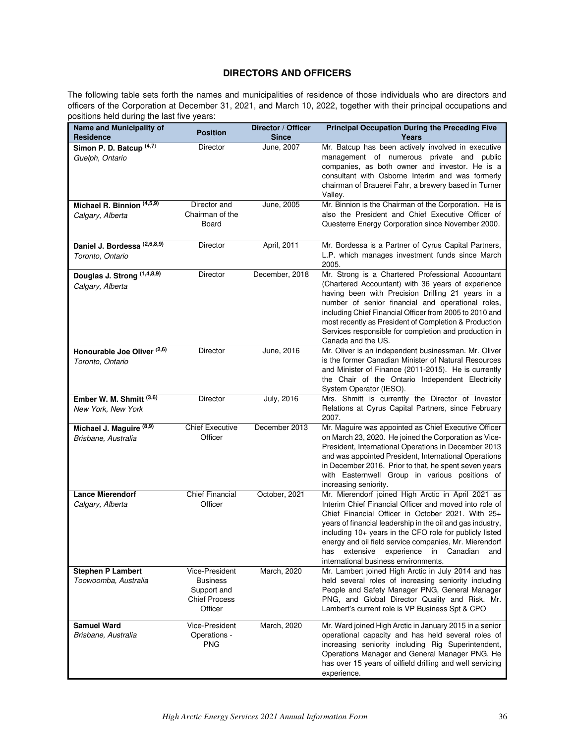# **DIRECTORS AND OFFICERS**

<span id="page-35-0"></span>The following table sets forth the names and municipalities of residence of those individuals who are directors and officers of the Corporation at December 31, 2021, and March 10, 2022, together with their principal occupations and positions held during the last five years:

| Name and Municipality of<br>Residence                       | <b>Position</b>                                                                     | Director / Officer<br><b>Since</b> | <b>Principal Occupation During the Preceding Five</b><br>Years                                                                                                                                                                                                                                                                                                                                                                              |
|-------------------------------------------------------------|-------------------------------------------------------------------------------------|------------------------------------|---------------------------------------------------------------------------------------------------------------------------------------------------------------------------------------------------------------------------------------------------------------------------------------------------------------------------------------------------------------------------------------------------------------------------------------------|
| Simon P. D. Batcup <sup>(4,7)</sup><br>Guelph, Ontario      | Director                                                                            | June, 2007                         | Mr. Batcup has been actively involved in executive<br>management of numerous private and public<br>companies, as both owner and investor. He is a<br>consultant with Osborne Interim and was formerly<br>chairman of Brauerei Fahr, a brewery based in Turner<br>Valley.                                                                                                                                                                    |
| Michael R. Binnion (4,5,9)<br>Calgary, Alberta              | Director and<br>Chairman of the<br>Board                                            | June, 2005                         | Mr. Binnion is the Chairman of the Corporation. He is<br>also the President and Chief Executive Officer of<br>Questerre Energy Corporation since November 2000.                                                                                                                                                                                                                                                                             |
| Daniel J. Bordessa <sup>(2,6,8,9)</sup><br>Toronto, Ontario | Director                                                                            | April, 2011                        | Mr. Bordessa is a Partner of Cyrus Capital Partners,<br>L.P. which manages investment funds since March<br>2005.                                                                                                                                                                                                                                                                                                                            |
| Douglas J. Strong (1,4,8,9)<br>Calgary, Alberta             | Director                                                                            | December, 2018                     | Mr. Strong is a Chartered Professional Accountant<br>(Chartered Accountant) with 36 years of experience<br>having been with Precision Drilling 21 years in a<br>number of senior financial and operational roles,<br>including Chief Financial Officer from 2005 to 2010 and<br>most recently as President of Completion & Production<br>Services responsible for completion and production in<br>Canada and the US.                        |
| Honourable Joe Oliver <sup>(2,6)</sup><br>Toronto, Ontario  | <b>Director</b>                                                                     | June, 2016                         | Mr. Oliver is an independent businessman. Mr. Oliver<br>is the former Canadian Minister of Natural Resources<br>and Minister of Finance (2011-2015). He is currently<br>the Chair of the Ontario Independent Electricity<br>System Operator (IESO).                                                                                                                                                                                         |
| Ember W. M. Shmitt (3,6)<br>New York, New York              | Director                                                                            | <b>July, 2016</b>                  | Mrs. Shmitt is currently the Director of Investor<br>Relations at Cyrus Capital Partners, since February<br>2007.                                                                                                                                                                                                                                                                                                                           |
| Michael J. Maguire (8,9)<br>Brisbane, Australia             | <b>Chief Executive</b><br>Officer                                                   | December 2013                      | Mr. Maguire was appointed as Chief Executive Officer<br>on March 23, 2020. He joined the Corporation as Vice-<br>President, International Operations in December 2013<br>and was appointed President, International Operations<br>in December 2016. Prior to that, he spent seven years<br>with Easternwell Group in various positions of<br>increasing seniority.                                                                          |
| <b>Lance Mierendorf</b><br>Calgary, Alberta                 | <b>Chief Financial</b><br>Officer                                                   | October, 2021                      | Mr. Mierendorf joined High Arctic in April 2021 as<br>Interim Chief Financial Officer and moved into role of<br>Chief Financial Officer in October 2021. With 25+<br>years of financial leadership in the oil and gas industry,<br>including 10+ years in the CFO role for publicly listed<br>energy and oil field service companies, Mr. Mierendorf<br>has extensive experience in Canadian<br>and<br>international business environments. |
| <b>Stephen P Lambert</b><br>Toowoomba, Australia            | Vice-President<br><b>Business</b><br>Support and<br><b>Chief Process</b><br>Officer | March, 2020                        | Mr. Lambert joined High Arctic in July 2014 and has<br>held several roles of increasing seniority including<br>People and Safety Manager PNG, General Manager<br>PNG, and Global Director Quality and Risk. Mr.<br>Lambert's current role is VP Business Spt & CPO                                                                                                                                                                          |
| <b>Samuel Ward</b><br>Brisbane, Australia                   | Vice-President<br>Operations -<br><b>PNG</b>                                        | March, 2020                        | Mr. Ward joined High Arctic in January 2015 in a senior<br>operational capacity and has held several roles of<br>increasing seniority including Rig Superintendent,<br>Operations Manager and General Manager PNG. He<br>has over 15 years of oilfield drilling and well servicing<br>experience.                                                                                                                                           |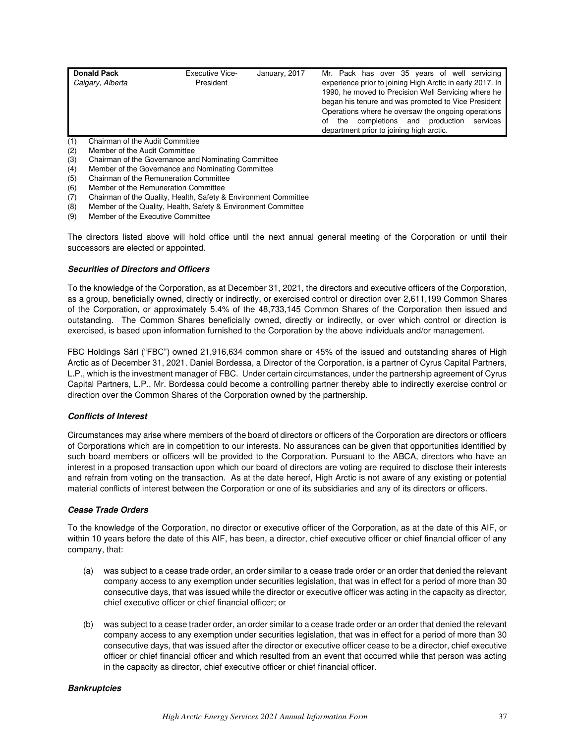| <b>Donald Pack</b><br>Calgary, Alberta | <b>Executive Vice-</b><br>President | January, 2017 | Mr. Pack has over 35 years of well servicing<br>experience prior to joining High Arctic in early 2017. In<br>1990, he moved to Precision Well Servicing where he<br>began his tenure and was promoted to Vice President<br>Operations where he oversaw the ongoing operations<br>of the completions and production<br>services<br>department prior to joining high arctic. |
|----------------------------------------|-------------------------------------|---------------|----------------------------------------------------------------------------------------------------------------------------------------------------------------------------------------------------------------------------------------------------------------------------------------------------------------------------------------------------------------------------|
| Chairman of the Audit Committee        |                                     |               |                                                                                                                                                                                                                                                                                                                                                                            |

- (2) Member of the Audit Committee<br>(3) Chairman of the Governance an
- (3) Chairman of the Governance and Nominating Committee
- (4) Member of the Governance and Nominating Committee
- (5) Chairman of the Remuneration Committee
- (6) Member of the Remuneration Committee
- (7) Chairman of the Quality, Health, Safety & Environment Committee
- (8) Member of the Quality, Health, Safety & Environment Committee
- (9) Member of the Executive Committee

The directors listed above will hold office until the next annual general meeting of the Corporation or until their successors are elected or appointed.

#### *Securities of Directors and Officers*

To the knowledge of the Corporation, as at December 31, 2021, the directors and executive officers of the Corporation, as a group, beneficially owned, directly or indirectly, or exercised control or direction over 2,611,199 Common Shares of the Corporation, or approximately 5.4% of the 48,733,145 Common Shares of the Corporation then issued and outstanding. The Common Shares beneficially owned, directly or indirectly, or over which control or direction is exercised, is based upon information furnished to the Corporation by the above individuals and/or management.

FBC Holdings Sàrl ("FBC") owned 21,916,634 common share or 45% of the issued and outstanding shares of High Arctic as of December 31, 2021. Daniel Bordessa, a Director of the Corporation, is a partner of Cyrus Capital Partners, L.P., which is the investment manager of FBC. Under certain circumstances, under the partnership agreement of Cyrus Capital Partners, L.P., Mr. Bordessa could become a controlling partner thereby able to indirectly exercise control or direction over the Common Shares of the Corporation owned by the partnership.

#### *Conflicts of Interest*

Circumstances may arise where members of the board of directors or officers of the Corporation are directors or officers of Corporations which are in competition to our interests. No assurances can be given that opportunities identified by such board members or officers will be provided to the Corporation. Pursuant to the ABCA, directors who have an interest in a proposed transaction upon which our board of directors are voting are required to disclose their interests and refrain from voting on the transaction. As at the date hereof, High Arctic is not aware of any existing or potential material conflicts of interest between the Corporation or one of its subsidiaries and any of its directors or officers.

#### *Cease Trade Orders*

To the knowledge of the Corporation, no director or executive officer of the Corporation, as at the date of this AIF, or within 10 years before the date of this AIF, has been, a director, chief executive officer or chief financial officer of any company, that:

- (a) was subject to a cease trade order, an order similar to a cease trade order or an order that denied the relevant company access to any exemption under securities legislation, that was in effect for a period of more than 30 consecutive days, that was issued while the director or executive officer was acting in the capacity as director, chief executive officer or chief financial officer; or
- (b) was subject to a cease trader order, an order similar to a cease trade order or an order that denied the relevant company access to any exemption under securities legislation, that was in effect for a period of more than 30 consecutive days, that was issued after the director or executive officer cease to be a director, chief executive officer or chief financial officer and which resulted from an event that occurred while that person was acting in the capacity as director, chief executive officer or chief financial officer.

#### *Bankruptcies*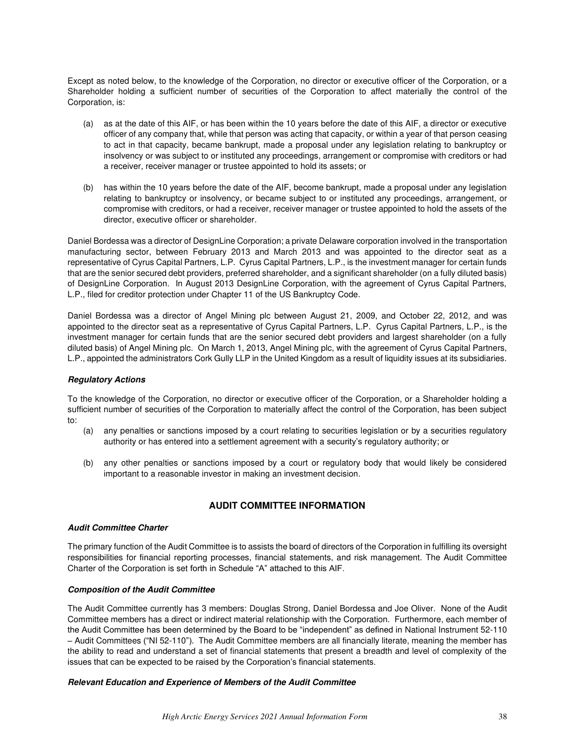Except as noted below, to the knowledge of the Corporation, no director or executive officer of the Corporation, or a Shareholder holding a sufficient number of securities of the Corporation to affect materially the control of the Corporation, is:

- (a) as at the date of this AIF, or has been within the 10 years before the date of this AIF, a director or executive officer of any company that, while that person was acting that capacity, or within a year of that person ceasing to act in that capacity, became bankrupt, made a proposal under any legislation relating to bankruptcy or insolvency or was subject to or instituted any proceedings, arrangement or compromise with creditors or had a receiver, receiver manager or trustee appointed to hold its assets; or
- (b) has within the 10 years before the date of the AIF, become bankrupt, made a proposal under any legislation relating to bankruptcy or insolvency, or became subject to or instituted any proceedings, arrangement, or compromise with creditors, or had a receiver, receiver manager or trustee appointed to hold the assets of the director, executive officer or shareholder.

Daniel Bordessa was a director of DesignLine Corporation; a private Delaware corporation involved in the transportation manufacturing sector, between February 2013 and March 2013 and was appointed to the director seat as a representative of Cyrus Capital Partners, L.P. Cyrus Capital Partners, L.P., is the investment manager for certain funds that are the senior secured debt providers, preferred shareholder, and a significant shareholder (on a fully diluted basis) of DesignLine Corporation. In August 2013 DesignLine Corporation, with the agreement of Cyrus Capital Partners, L.P., filed for creditor protection under Chapter 11 of the US Bankruptcy Code.

Daniel Bordessa was a director of Angel Mining plc between August 21, 2009, and October 22, 2012, and was appointed to the director seat as a representative of Cyrus Capital Partners, L.P. Cyrus Capital Partners, L.P., is the investment manager for certain funds that are the senior secured debt providers and largest shareholder (on a fully diluted basis) of Angel Mining plc. On March 1, 2013, Angel Mining plc, with the agreement of Cyrus Capital Partners, L.P., appointed the administrators Cork Gully LLP in the United Kingdom as a result of liquidity issues at its subsidiaries.

#### *Regulatory Actions*

To the knowledge of the Corporation, no director or executive officer of the Corporation, or a Shareholder holding a sufficient number of securities of the Corporation to materially affect the control of the Corporation, has been subject to:

- (a) any penalties or sanctions imposed by a court relating to securities legislation or by a securities regulatory authority or has entered into a settlement agreement with a security's regulatory authority; or
- (b) any other penalties or sanctions imposed by a court or regulatory body that would likely be considered important to a reasonable investor in making an investment decision.

# **AUDIT COMMITTEE INFORMATION**

#### <span id="page-37-0"></span>*Audit Committee Charter*

The primary function of the Audit Committee is to assists the board of directors of the Corporation in fulfilling its oversight responsibilities for financial reporting processes, financial statements, and risk management. The Audit Committee Charter of the Corporation is set forth in Schedule "A" attached to this AIF.

#### *Composition of the Audit Committee*

The Audit Committee currently has 3 members: Douglas Strong, Daniel Bordessa and Joe Oliver. None of the Audit Committee members has a direct or indirect material relationship with the Corporation. Furthermore, each member of the Audit Committee has been determined by the Board to be "independent" as defined in National Instrument 52-110 – Audit Committees ("NI 52-110"). The Audit Committee members are all financially literate, meaning the member has the ability to read and understand a set of financial statements that present a breadth and level of complexity of the issues that can be expected to be raised by the Corporation's financial statements.

#### *Relevant Education and Experience of Members of the Audit Committee*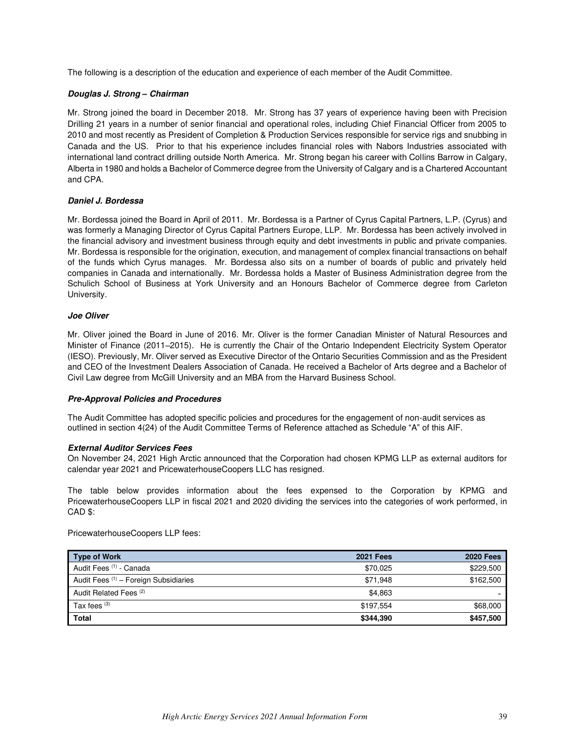The following is a description of the education and experience of each member of the Audit Committee.

#### *Douglas J. Strong – Chairman*

Mr. Strong joined the board in December 2018. Mr. Strong has 37 years of experience having been with Precision Drilling 21 years in a number of senior financial and operational roles, including Chief Financial Officer from 2005 to 2010 and most recently as President of Completion & Production Services responsible for service rigs and snubbing in Canada and the US. Prior to that his experience includes financial roles with Nabors Industries associated with international land contract drilling outside North America. Mr. Strong began his career with Collins Barrow in Calgary, Alberta in 1980 and holds a Bachelor of Commerce degree from the University of Calgary and is a Chartered Accountant and CPA.

#### *Daniel J. Bordessa*

Mr. Bordessa joined the Board in April of 2011. Mr. Bordessa is a Partner of Cyrus Capital Partners, L.P. (Cyrus) and was formerly a Managing Director of Cyrus Capital Partners Europe, LLP. Mr. Bordessa has been actively involved in the financial advisory and investment business through equity and debt investments in public and private companies. Mr. Bordessa is responsible for the origination, execution, and management of complex financial transactions on behalf of the funds which Cyrus manages. Mr. Bordessa also sits on a number of boards of public and privately held companies in Canada and internationally. Mr. Bordessa holds a Master of Business Administration degree from the Schulich School of Business at York University and an Honours Bachelor of Commerce degree from Carleton University.

#### *Joe Oliver*

Mr. Oliver joined the Board in June of 2016. Mr. Oliver is the former Canadian Minister of Natural Resources and Minister of Finance (2011–2015). He is currently the Chair of the Ontario Independent Electricity System Operator (IESO). Previously, Mr. Oliver served as Executive Director of the Ontario Securities Commission and as the President and CEO of the Investment Dealers Association of Canada. He received a Bachelor of Arts degree and a Bachelor of Civil Law degree from McGill University and an MBA from the Harvard Business School.

#### *Pre-Approval Policies and Procedures*

The Audit Committee has adopted specific policies and procedures for the engagement of non-audit services as outlined in section 4(24) of the Audit Committee Terms of Reference attached as Schedule "A" of this AIF.

#### *External Auditor Services Fees*

On November 24, 2021 High Arctic announced that the Corporation had chosen KPMG LLP as external auditors for calendar year 2021 and PricewaterhouseCoopers LLC has resigned.

The table below provides information about the fees expensed to the Corporation by KPMG and PricewaterhouseCoopers LLP in fiscal 2021 and 2020 dividing the services into the categories of work performed, in CAD \$:

PricewaterhouseCoopers LLP fees:

| Type of Work                          | <b>2021 Fees</b> | <b>2020 Fees</b> |
|---------------------------------------|------------------|------------------|
| Audit Fees (1) - Canada               | \$70.025         | \$229,500        |
| Audit Fees (1) - Foreign Subsidiaries | \$71.948         | \$162,500        |
| Audit Related Fees <sup>(2)</sup>     | \$4.863          |                  |
| Tax fees $(3)$                        | \$197,554        | \$68,000         |
| <b>Total</b>                          | \$344,390        | \$457,500        |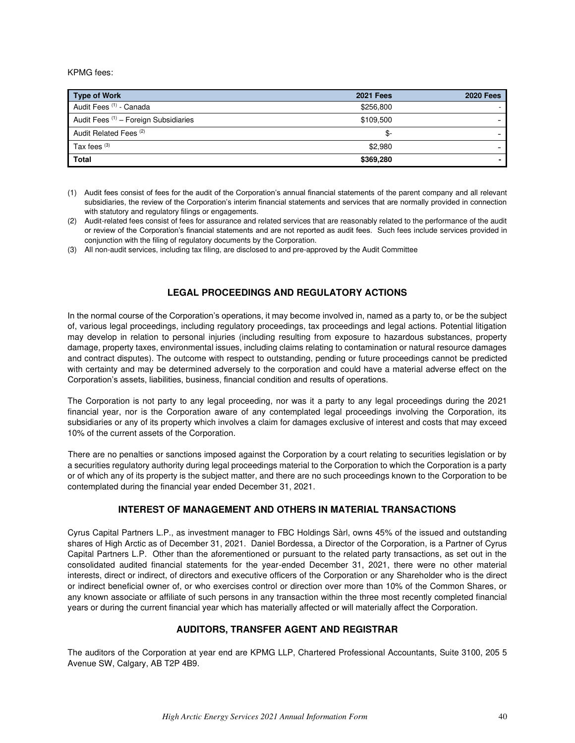KPMG fees:

| <b>Type of Work</b>                   | <b>2021 Fees</b> | <b>2020 Fees</b> |
|---------------------------------------|------------------|------------------|
| Audit Fees (1) - Canada               | \$256,800        |                  |
| Audit Fees (1) - Foreign Subsidiaries | \$109.500        |                  |
| Audit Related Fees <sup>(2)</sup>     | \$-              |                  |
| Tax fees $(3)$                        | \$2,980          |                  |
| <b>Total</b>                          | \$369,280        |                  |

<sup>(1)</sup> Audit fees consist of fees for the audit of the Corporation's annual financial statements of the parent company and all relevant subsidiaries, the review of the Corporation's interim financial statements and services that are normally provided in connection with statutory and regulatory filings or engagements.

### **LEGAL PROCEEDINGS AND REGULATORY ACTIONS**

<span id="page-39-0"></span>In the normal course of the Corporation's operations, it may become involved in, named as a party to, or be the subject of, various legal proceedings, including regulatory proceedings, tax proceedings and legal actions. Potential litigation may develop in relation to personal injuries (including resulting from exposure to hazardous substances, property damage, property taxes, environmental issues, including claims relating to contamination or natural resource damages and contract disputes). The outcome with respect to outstanding, pending or future proceedings cannot be predicted with certainty and may be determined adversely to the corporation and could have a material adverse effect on the Corporation's assets, liabilities, business, financial condition and results of operations.

The Corporation is not party to any legal proceeding, nor was it a party to any legal proceedings during the 2021 financial year, nor is the Corporation aware of any contemplated legal proceedings involving the Corporation, its subsidiaries or any of its property which involves a claim for damages exclusive of interest and costs that may exceed 10% of the current assets of the Corporation.

There are no penalties or sanctions imposed against the Corporation by a court relating to securities legislation or by a securities regulatory authority during legal proceedings material to the Corporation to which the Corporation is a party or of which any of its property is the subject matter, and there are no such proceedings known to the Corporation to be contemplated during the financial year ended December 31, 2021.

### **INTEREST OF MANAGEMENT AND OTHERS IN MATERIAL TRANSACTIONS**

<span id="page-39-1"></span>Cyrus Capital Partners L.P., as investment manager to FBC Holdings Sàrl, owns 45% of the issued and outstanding shares of High Arctic as of December 31, 2021. Daniel Bordessa, a Director of the Corporation, is a Partner of Cyrus Capital Partners L.P. Other than the aforementioned or pursuant to the related party transactions, as set out in the consolidated audited financial statements for the year-ended December 31, 2021, there were no other material interests, direct or indirect, of directors and executive officers of the Corporation or any Shareholder who is the direct or indirect beneficial owner of, or who exercises control or direction over more than 10% of the Common Shares, or any known associate or affiliate of such persons in any transaction within the three most recently completed financial years or during the current financial year which has materially affected or will materially affect the Corporation.

### **AUDITORS, TRANSFER AGENT AND REGISTRAR**

<span id="page-39-2"></span>The auditors of the Corporation at year end are KPMG LLP, Chartered Professional Accountants, Suite 3100, 205 5 Avenue SW, Calgary, AB T2P 4B9.

<sup>(2)</sup> Audit-related fees consist of fees for assurance and related services that are reasonably related to the performance of the audit or review of the Corporation's financial statements and are not reported as audit fees. Such fees include services provided in conjunction with the filing of regulatory documents by the Corporation.

<sup>(3)</sup> All non-audit services, including tax filing, are disclosed to and pre-approved by the Audit Committee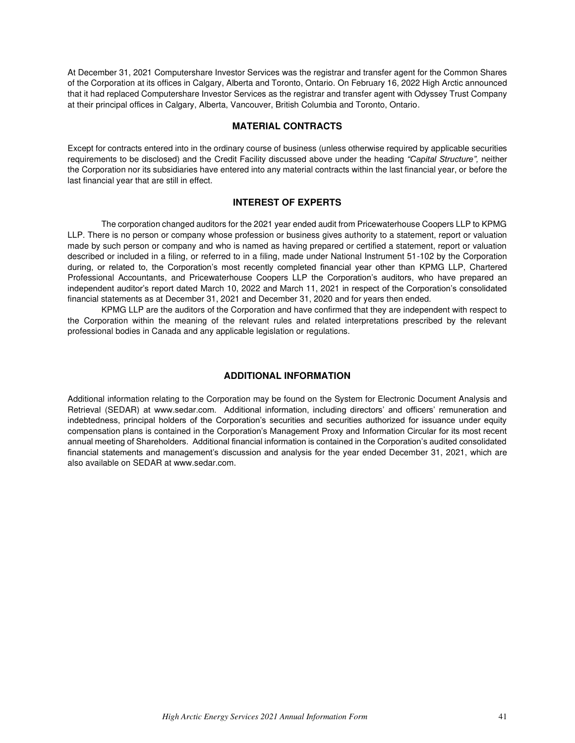At December 31, 2021 Computershare Investor Services was the registrar and transfer agent for the Common Shares of the Corporation at its offices in Calgary, Alberta and Toronto, Ontario. On February 16, 2022 High Arctic announced that it had replaced Computershare Investor Services as the registrar and transfer agent with Odyssey Trust Company at their principal offices in Calgary, Alberta, Vancouver, British Columbia and Toronto, Ontario.

### **MATERIAL CONTRACTS**

<span id="page-40-0"></span>Except for contracts entered into in the ordinary course of business (unless otherwise required by applicable securities requirements to be disclosed) and the Credit Facility discussed above under the heading *"Capital Structure",* neither the Corporation nor its subsidiaries have entered into any material contracts within the last financial year, or before the last financial year that are still in effect.

# **INTEREST OF EXPERTS**

<span id="page-40-1"></span>The corporation changed auditors for the 2021 year ended audit from Pricewaterhouse Coopers LLP to KPMG LLP. There is no person or company whose profession or business gives authority to a statement, report or valuation made by such person or company and who is named as having prepared or certified a statement, report or valuation described or included in a filing, or referred to in a filing, made under National Instrument 51-102 by the Corporation during, or related to, the Corporation's most recently completed financial year other than KPMG LLP, Chartered Professional Accountants, and Pricewaterhouse Coopers LLP the Corporation's auditors, who have prepared an independent auditor's report dated March 10, 2022 and March 11, 2021 in respect of the Corporation's consolidated financial statements as at December 31, 2021 and December 31, 2020 and for years then ended.

KPMG LLP are the auditors of the Corporation and have confirmed that they are independent with respect to the Corporation within the meaning of the relevant rules and related interpretations prescribed by the relevant professional bodies in Canada and any applicable legislation or regulations.

## **ADDITIONAL INFORMATION**

<span id="page-40-2"></span>Additional information relating to the Corporation may be found on the System for Electronic Document Analysis and Retrieval (SEDAR) at www.sedar.com. Additional information, including directors' and officers' remuneration and indebtedness, principal holders of the Corporation's securities and securities authorized for issuance under equity compensation plans is contained in the Corporation's Management Proxy and Information Circular for its most recent annual meeting of Shareholders. Additional financial information is contained in the Corporation's audited consolidated financial statements and management's discussion and analysis for the year ended December 31, 2021, which are also available on SEDAR at www.sedar.com.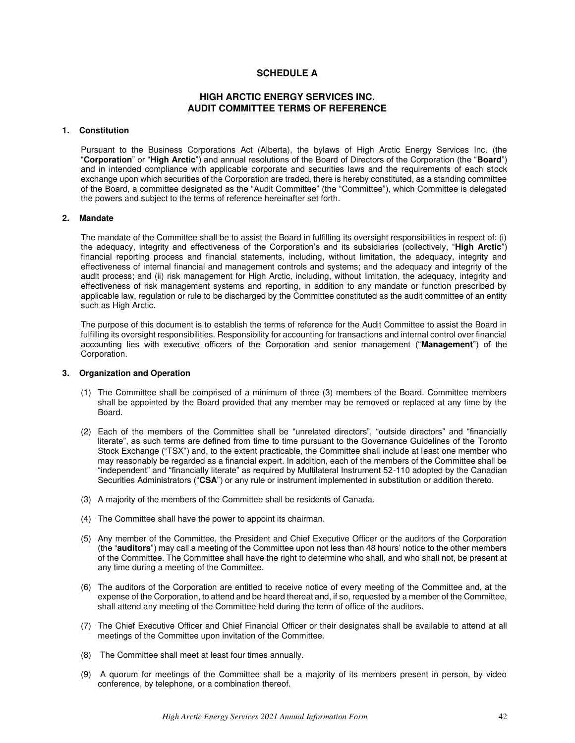### **SCHEDULE A**

## **HIGH ARCTIC ENERGY SERVICES INC. AUDIT COMMITTEE TERMS OF REFERENCE**

#### <span id="page-41-0"></span>**1. Constitution**

Pursuant to the Business Corporations Act (Alberta), the bylaws of High Arctic Energy Services Inc. (the "**Corporation**" or "**High Arctic**") and annual resolutions of the Board of Directors of the Corporation (the "**Board**") and in intended compliance with applicable corporate and securities laws and the requirements of each stock exchange upon which securities of the Corporation are traded, there is hereby constituted, as a standing committee of the Board, a committee designated as the "Audit Committee" (the "Committee"), which Committee is delegated the powers and subject to the terms of reference hereinafter set forth.

#### **2. Mandate**

The mandate of the Committee shall be to assist the Board in fulfilling its oversight responsibilities in respect of: (i) the adequacy, integrity and effectiveness of the Corporation's and its subsidiaries (collectively, "**High Arctic**") financial reporting process and financial statements, including, without limitation, the adequacy, integrity and effectiveness of internal financial and management controls and systems; and the adequacy and integrity of the audit process; and (ii) risk management for High Arctic, including, without limitation, the adequacy, integrity and effectiveness of risk management systems and reporting, in addition to any mandate or function prescribed by applicable law, regulation or rule to be discharged by the Committee constituted as the audit committee of an entity such as High Arctic.

The purpose of this document is to establish the terms of reference for the Audit Committee to assist the Board in fulfilling its oversight responsibilities. Responsibility for accounting for transactions and internal control over financial accounting lies with executive officers of the Corporation and senior management ("**Management**") of the Corporation.

#### **3. Organization and Operation**

- (1) The Committee shall be comprised of a minimum of three (3) members of the Board. Committee members shall be appointed by the Board provided that any member may be removed or replaced at any time by the Board.
- (2) Each of the members of the Committee shall be "unrelated directors", "outside directors" and "financially literate", as such terms are defined from time to time pursuant to the Governance Guidelines of the Toronto Stock Exchange ("TSX") and, to the extent practicable, the Committee shall include at least one member who may reasonably be regarded as a financial expert. In addition, each of the members of the Committee shall be "independent" and "financially literate" as required by Multilateral Instrument 52-110 adopted by the Canadian Securities Administrators ("**CSA**") or any rule or instrument implemented in substitution or addition thereto.
- (3) A majority of the members of the Committee shall be residents of Canada.
- (4) The Committee shall have the power to appoint its chairman.
- (5) Any member of the Committee, the President and Chief Executive Officer or the auditors of the Corporation (the "**auditors**") may call a meeting of the Committee upon not less than 48 hours' notice to the other members of the Committee. The Committee shall have the right to determine who shall, and who shall not, be present at any time during a meeting of the Committee.
- (6) The auditors of the Corporation are entitled to receive notice of every meeting of the Committee and, at the expense of the Corporation, to attend and be heard thereat and, if so, requested by a member of the Committee, shall attend any meeting of the Committee held during the term of office of the auditors.
- (7) The Chief Executive Officer and Chief Financial Officer or their designates shall be available to attend at all meetings of the Committee upon invitation of the Committee.
- (8) The Committee shall meet at least four times annually.
- (9) A quorum for meetings of the Committee shall be a majority of its members present in person, by video conference, by telephone, or a combination thereof.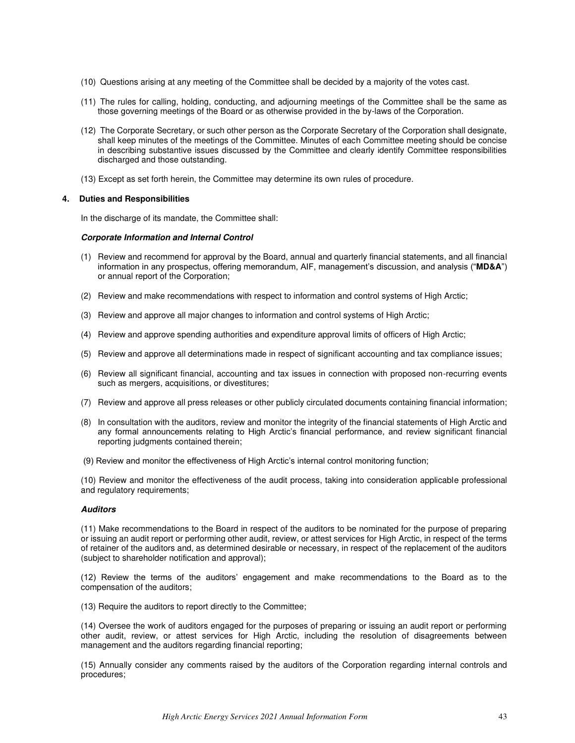- (10) Questions arising at any meeting of the Committee shall be decided by a majority of the votes cast.
- (11) The rules for calling, holding, conducting, and adjourning meetings of the Committee shall be the same as those governing meetings of the Board or as otherwise provided in the by-laws of the Corporation.
- (12) The Corporate Secretary, or such other person as the Corporate Secretary of the Corporation shall designate, shall keep minutes of the meetings of the Committee. Minutes of each Committee meeting should be concise in describing substantive issues discussed by the Committee and clearly identify Committee responsibilities discharged and those outstanding.
- (13) Except as set forth herein, the Committee may determine its own rules of procedure.

#### **4. Duties and Responsibilities**

In the discharge of its mandate, the Committee shall:

#### *Corporate Information and Internal Control*

- (1) Review and recommend for approval by the Board, annual and quarterly financial statements, and all financial information in any prospectus, offering memorandum, AIF, management's discussion, and analysis ("**MD&A**") or annual report of the Corporation;
- (2) Review and make recommendations with respect to information and control systems of High Arctic;
- (3) Review and approve all major changes to information and control systems of High Arctic;
- (4) Review and approve spending authorities and expenditure approval limits of officers of High Arctic;
- (5) Review and approve all determinations made in respect of significant accounting and tax compliance issues;
- (6) Review all significant financial, accounting and tax issues in connection with proposed non-recurring events such as mergers, acquisitions, or divestitures;
- (7) Review and approve all press releases or other publicly circulated documents containing financial information;
- (8) In consultation with the auditors, review and monitor the integrity of the financial statements of High Arctic and any formal announcements relating to High Arctic's financial performance, and review significant financial reporting judgments contained therein;
- (9) Review and monitor the effectiveness of High Arctic's internal control monitoring function;

(10) Review and monitor the effectiveness of the audit process, taking into consideration applicable professional and regulatory requirements;

#### *Auditors*

(11) Make recommendations to the Board in respect of the auditors to be nominated for the purpose of preparing or issuing an audit report or performing other audit, review, or attest services for High Arctic, in respect of the terms of retainer of the auditors and, as determined desirable or necessary, in respect of the replacement of the auditors (subject to shareholder notification and approval);

(12) Review the terms of the auditors' engagement and make recommendations to the Board as to the compensation of the auditors;

(13) Require the auditors to report directly to the Committee;

(14) Oversee the work of auditors engaged for the purposes of preparing or issuing an audit report or performing other audit, review, or attest services for High Arctic, including the resolution of disagreements between management and the auditors regarding financial reporting;

(15) Annually consider any comments raised by the auditors of the Corporation regarding internal controls and procedures;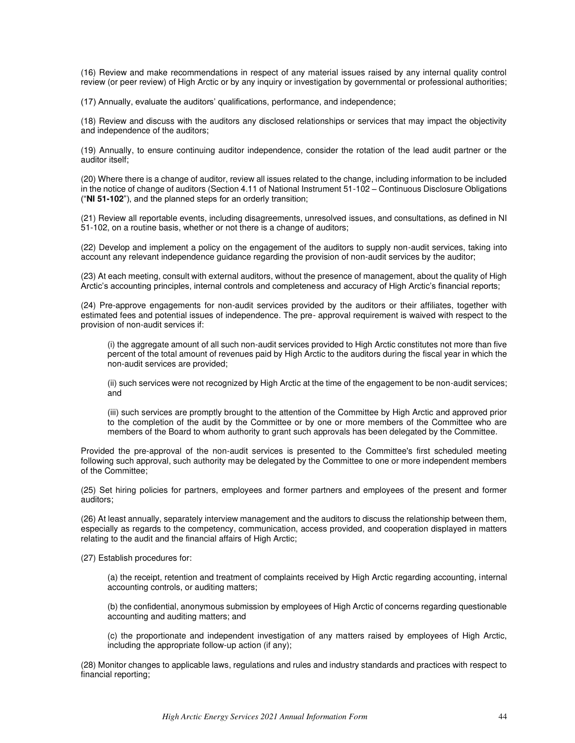(16) Review and make recommendations in respect of any material issues raised by any internal quality control review (or peer review) of High Arctic or by any inquiry or investigation by governmental or professional authorities;

(17) Annually, evaluate the auditors' qualifications, performance, and independence;

(18) Review and discuss with the auditors any disclosed relationships or services that may impact the objectivity and independence of the auditors;

(19) Annually, to ensure continuing auditor independence, consider the rotation of the lead audit partner or the auditor itself;

(20) Where there is a change of auditor, review all issues related to the change, including information to be included in the notice of change of auditors (Section 4.11 of National Instrument 51-102 – Continuous Disclosure Obligations ("**NI 51-102**"), and the planned steps for an orderly transition;

(21) Review all reportable events, including disagreements, unresolved issues, and consultations, as defined in NI 51-102, on a routine basis, whether or not there is a change of auditors;

(22) Develop and implement a policy on the engagement of the auditors to supply non-audit services, taking into account any relevant independence guidance regarding the provision of non-audit services by the auditor;

(23) At each meeting, consult with external auditors, without the presence of management, about the quality of High Arctic's accounting principles, internal controls and completeness and accuracy of High Arctic's financial reports;

(24) Pre-approve engagements for non-audit services provided by the auditors or their affiliates, together with estimated fees and potential issues of independence. The pre- approval requirement is waived with respect to the provision of non-audit services if:

(i) the aggregate amount of all such non-audit services provided to High Arctic constitutes not more than five percent of the total amount of revenues paid by High Arctic to the auditors during the fiscal year in which the non-audit services are provided;

(ii) such services were not recognized by High Arctic at the time of the engagement to be non-audit services; and

(iii) such services are promptly brought to the attention of the Committee by High Arctic and approved prior to the completion of the audit by the Committee or by one or more members of the Committee who are members of the Board to whom authority to grant such approvals has been delegated by the Committee.

Provided the pre-approval of the non-audit services is presented to the Committee's first scheduled meeting following such approval, such authority may be delegated by the Committee to one or more independent members of the Committee;

(25) Set hiring policies for partners, employees and former partners and employees of the present and former auditors;

(26) At least annually, separately interview management and the auditors to discuss the relationship between them, especially as regards to the competency, communication, access provided, and cooperation displayed in matters relating to the audit and the financial affairs of High Arctic;

(27) Establish procedures for:

(a) the receipt, retention and treatment of complaints received by High Arctic regarding accounting, internal accounting controls, or auditing matters;

(b) the confidential, anonymous submission by employees of High Arctic of concerns regarding questionable accounting and auditing matters; and

(c) the proportionate and independent investigation of any matters raised by employees of High Arctic, including the appropriate follow-up action (if any);

(28) Monitor changes to applicable laws, regulations and rules and industry standards and practices with respect to financial reporting;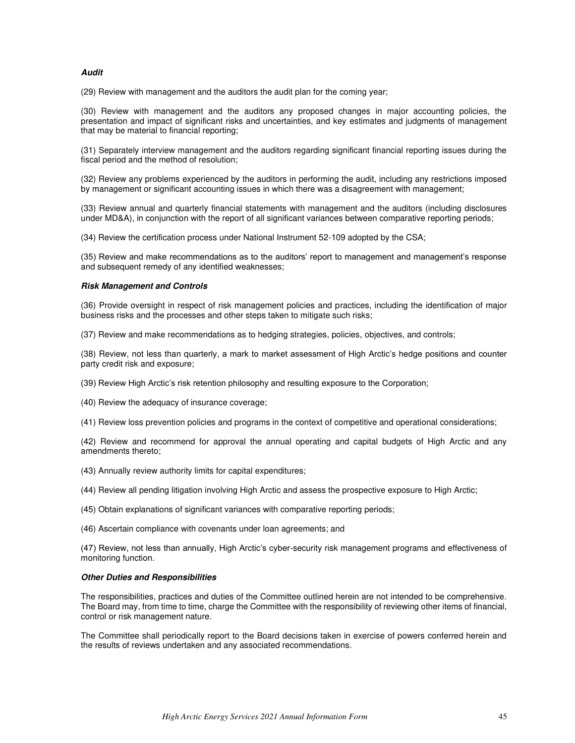#### *Audit*

(29) Review with management and the auditors the audit plan for the coming year;

(30) Review with management and the auditors any proposed changes in major accounting policies, the presentation and impact of significant risks and uncertainties, and key estimates and judgments of management that may be material to financial reporting;

(31) Separately interview management and the auditors regarding significant financial reporting issues during the fiscal period and the method of resolution;

(32) Review any problems experienced by the auditors in performing the audit, including any restrictions imposed by management or significant accounting issues in which there was a disagreement with management;

(33) Review annual and quarterly financial statements with management and the auditors (including disclosures under MD&A), in conjunction with the report of all significant variances between comparative reporting periods;

(34) Review the certification process under National Instrument 52-109 adopted by the CSA;

(35) Review and make recommendations as to the auditors' report to management and management's response and subsequent remedy of any identified weaknesses;

#### *Risk Management and Controls*

(36) Provide oversight in respect of risk management policies and practices, including the identification of major business risks and the processes and other steps taken to mitigate such risks;

(37) Review and make recommendations as to hedging strategies, policies, objectives, and controls;

(38) Review, not less than quarterly, a mark to market assessment of High Arctic's hedge positions and counter party credit risk and exposure;

- (39) Review High Arctic's risk retention philosophy and resulting exposure to the Corporation;
- (40) Review the adequacy of insurance coverage;

(41) Review loss prevention policies and programs in the context of competitive and operational considerations;

(42) Review and recommend for approval the annual operating and capital budgets of High Arctic and any amendments thereto;

- (43) Annually review authority limits for capital expenditures;
- (44) Review all pending litigation involving High Arctic and assess the prospective exposure to High Arctic;
- (45) Obtain explanations of significant variances with comparative reporting periods;
- (46) Ascertain compliance with covenants under loan agreements; and

(47) Review, not less than annually, High Arctic's cyber-security risk management programs and effectiveness of monitoring function.

#### *Other Duties and Responsibilities*

The responsibilities, practices and duties of the Committee outlined herein are not intended to be comprehensive. The Board may, from time to time, charge the Committee with the responsibility of reviewing other items of financial, control or risk management nature.

The Committee shall periodically report to the Board decisions taken in exercise of powers conferred herein and the results of reviews undertaken and any associated recommendations.